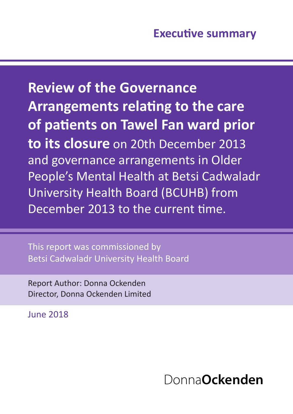This report was commissioned by Betsi Cadwaladr University Health Board

Report Author: Donna Ockenden Director, Donna Ockenden Limited

June 2018

# Donna**Ockenden**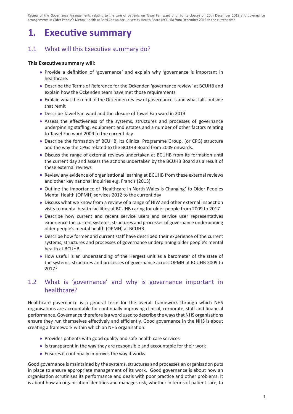## **1. Executive summary**

#### 1.1 What will this Executive summary do?

#### **This Executive summary will:**

- Provide a definition of 'governance' and explain why 'governance is important in healthcare.
- Describe the Terms of Reference for the Ockenden 'governance review' at BCUHB and explain how the Ockenden team have met those requirements
- Explain what the remit of the Ockenden review of governance is and what falls outside that remit
- Describe Tawel Fan ward and the closure of Tawel Fan ward in 2013
- Assess the effectiveness of the systems, structures and processes of governance underpinning staffing, equipment and estates and a number of other factors relating to Tawel Fan ward 2009 to the current day
- Describe the formation of BCUHB, its Clinical Programme Group, (or CPG) structure and the way the CPGs related to the BCUHB Board from 2009 onwards.
- Discuss the range of external reviews undertaken at BCUHB from its formation until the current day and assess the actions undertaken by the BCUHB Board as a result of these external reviews
- Review any evidence of organisational learning at BCUHB from these external reviews and other key national inquiries e.g. Francis (2013)
- Outline the importance of 'Healthcare in North Wales is Changing' to Older Peoples Mental Health (OPMH) services 2012 to the current day
- Discuss what we know from a review of a range of HIW and other external inspection visits to mental health facilities at BCUHB caring for older people from 2009 to 2017
- Describe how current and recent service users and service user representatives experience the current systems, structures and processes of governance underpinning older people's mental health (OPMH) at BCUHB.
- Describe how former and current staff have described their experience of the current systems, structures and processes of governance underpinning older people's mental health at BCUHB.
- How useful is an understanding of the Hergest unit as a barometer of the state of the systems, structures and processes of governance across OPMH at BCUHB 2009 to 2017?

#### 1.2 What is 'governance' and why is governance important in healthcare?

Healthcare governance is a general term for the overall framework through which NHS organisations are accountable for continually improving clinical, corporate, staff and financial performance. Governance therefore is a word used to describe the ways that NHS organisations ensure they run themselves effectively and efficiently. Good governance in the NHS is about creating a framework within which an NHS organisation:

- Provides patients with good quality and safe health care services
- Is transparent in the way they are responsible and accountable for their work
- Ensures it continually improves the way it works

Good governance is maintained by the systems, structures and processes an organisation puts in place to ensure appropriate management of its work. Good governance is about how an organisation scrutinises its performance and deals with poor practice and other problems. It is about how an organisation identifies and manages risk, whether in terms of patient care, to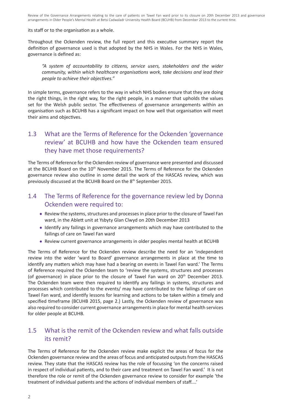#### its staff or to the organisation as a whole.

Throughout the Ockenden review, the full report and this executive summary report the definition of governance used is that adopted by the NHS in Wales. For the NHS in Wales, governance is defined as:

*"A system of accountability to citizens, service users, stakeholders and the wider community, within which healthcare organisations work, take decisions and lead their people to achieve their objectives."*

In simple terms, governance refers to the way in which NHS bodies ensure that they are doing the right things, in the right way, for the right people, in a manner that upholds the values set for the Welsh public sector. The effectiveness of governance arrangements within an organisation such as BCUHB has a significant impact on how well that organisation will meet their aims and objectives.

#### 1.3 What are the Terms of Reference for the Ockenden 'governance review' at BCUHB and how have the Ockenden team ensured they have met those requirements?

The Terms of Reference for the Ockenden review of governance were presented and discussed at the BCUHB Board on the 10<sup>th</sup> November 2015. The Terms of Reference for the Ockenden governance review also outline in some detail the work of the HASCAS review, which was previously discussed at the BCUHB Board on the 8th September 2015.

#### 1.4 The Terms of Reference for the governance review led by Donna Ockenden were required to:

- Review the systems, structures and processes in place prior to the closure of Tawel Fan ward, in the Ablett unit at Ysbyty Glan Clwyd on 20th December 2013
- Identify any failings in governance arrangements which may have contributed to the failings of care on Tawel Fan ward
- Review current governance arrangements in older peoples mental health at BCUHB

The Terms of Reference for the Ockenden review describe the need for an 'independent review into the wider 'ward to Board' governance arrangements in place at the time to identify any matters which may have had a bearing on events in Tawel Fan ward.' The Terms of Reference required the Ockenden team to 'review the systems, structures and processes (of governance) in place prior to the closure of Tawel Fan ward on 20<sup>th</sup> December 2013. The Ockenden team were then required to identify any failings in systems, structures and processes which contributed to the events/ may have contributed to the failings of care on Tawel Fan ward, and identify lessons for learning and actions to be taken within a timely and specified timeframe (BCUHB 2015, page 2.) Lastly, the Ockenden review of governance was also required to consider current governance arrangements in place for mental health services for older people at BCUHB.

#### 1.5 What is the remit of the Ockenden review and what falls outside its remit?

The Terms of Reference for the Ockenden review make explicit the areas of focus for the Ockenden governance review and the areas of focus and anticipated outputs from the HASCAS review. They state that the HASCAS review has the role of focussing 'on the concerns raised in respect of individual patients, and to their care and treatment on Tawel Fan ward.' It is not therefore the role or remit of the Ockenden governance review to consider for example 'the treatment of individual patients and the actions of individual members of staff....'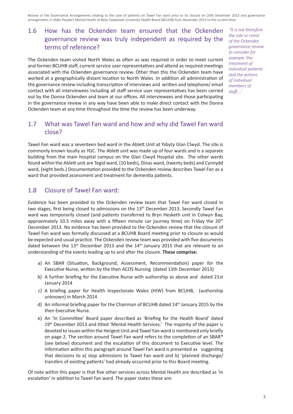### 1.6 How has the Ockenden team ensured that the Ockenden governance review was truly independent as required by the terms of reference?

The Ockenden team visited North Wales as often as was required in order to meet current and former BCUHB staff, current service user representatives and attend as required meetings associated with the Ockenden governance review. Other than this the Ockenden team have worked at a geographically distant location to North Wales. In addition all administration of the governance review including transcription of interviews and written and telephone/ email contact with all interviewees including all staff service user representatives has been carried out by the Donna Ockenden and team at our offices. All interviewees and those participating in the governance review in any way have been able to make direct contact with the Donna Ockenden team at any time throughout the time the review has been underway.

*"It is not therefore the role or remit of the Ockenden governance review to consider for example 'the treatment of individual patients and the actions of individual members of staff....'* 

#### 1.7 What was Tawel Fan ward and how and why did Tawel Fan ward close?

Tawel Fan ward was a seventeen bed ward in the Ablett Unit at Ysbyty Glan Clwyd. The site is commonly known locally as YGC. The Ablett unit was made up of four wards and is a separate building from the main hospital campus on the Glan Clwyd Hospital site. The other wards found within the Ablett unit are Tegid ward, (10 beds), Dinas ward, (twenty beds) and Cynnydd ward, (eight beds.) Documentation provided to the Ockenden review describes Tawel Fan as a ward that provided assessment and treatment for dementia patients.

#### 1.8 Closure of Tawel Fan ward:

Evidence has been provided to the Ockenden review team that Tawel Fan ward closed in two stages, first being closed to admissions on the 13<sup>th</sup> December 2013. Secondly Tawel Fan ward was temporarily closed (and patients transferred to Bryn Hesketh unit in Colwyn Bay, approximately 10.5 miles away with a fifteen minute car journey time) on Friday the  $20<sup>th</sup>$ December 2013. No evidence has been provided to the Ockenden review that the closure of Tawel Fan ward was formally discussed at a BCUHB Board meeting prior to closure as would be expected and usual practice. The Ockenden review team was provided with five documents dated between the  $13<sup>th</sup>$  December 2013 and the  $14<sup>th</sup>$  January 2015 that are relevant to an understanding of the events leading up to and after the closure. **These comprise:**

- a) An SBAR (Situation, Background, Assessment, Recommendation) paper for the Executive Nurse, written by the then ACOS Nursing (dated 13th December 2013)
- b) A further briefing for the Executive Nurse with authorship as above and dated 21st January 2014
- c) A briefing paper for Health Inspectorate Wales (HIW) from BCUHB, (authorship unknown) in March 2014
- d) An informal briefing paper for the Chairman of BCUHB dated 14th January 2015 by the then Executive Nurse.
- e) An 'In Committee' Board paper described as 'Briefing for the Health Board' dated 19<sup>th</sup> December 2013 and titled 'Mental Health Services.' The majority of the paper is devoted to issues within the Hergest Unit and Tawel Fan ward is mentioned only briefly on page 2. The section around Tawel Fan ward refers to the completion of an SBAR\* (see below) document and the escalation of this document to Executive level. The information within this paragraph around Tawel Fan ward is presented as suggesting that decisions to a) stop admissions to Tawel Fan ward and b) 'planned discharge/ transfers of existing patients' had already occurred prior to this Board meeting.

Of note within this paper is that five other services across Mental Health are described as 'in escalation' in addition to Tawel Fan ward. The paper states these are: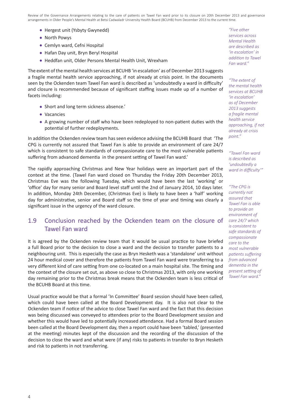- Hergest unit (Ysbyty Gwynedd)
- North Powys
- Cemlyn ward, Cefni Hospital
- Hafan Day unit, Bryn Beryl Hospital
- Heddfan unit, Older Persons Mental Health Unit, Wrexham

The extent of the mental health services at BCUHB 'in escalation' as of December 2013 suggests a fragile mental health service approaching, if not already at crisis point. In the documents seen by the Ockenden team Tawel Fan ward is described as 'undoubtedly a ward in difficulty' and closure is recommended because of significant staffing issues made up of a number of facets including:

- Short and long term sickness absence.'
- Vacancies
- A growing number of staff who have been redeployed to non-patient duties with the potential of further redeployments.

In addition the Ockenden review team has seen evidence advising the BCUHB Board that 'The CPG is currently not assured that Tawel Fan is able to provide an environment of care 24/7 which is consistent to safe standards of compassionate care to the most vulnerable patients suffering from advanced dementia in the present setting of Tawel Fan ward.'

The rapidly approaching Christmas and New Year holidays were an important part of the context at the time. (Tawel Fan ward closed on Thursday the Friday 20th December 2013, Christmas Eve was the following Tuesday, which would have been the last 'working' or 'office' day for many senior and Board level staff until the 2nd of January 2014, 10 days later. In addition, Monday 24th December, (Christmas Eve) is likely to have been a 'half' working day for administrative, senior and Board staff so the time of year and timing was clearly a significant issue in the urgency of the ward closure.

#### 1.9 Conclusion reached by the Ockenden team on the closure of Tawel Fan ward

It is agreed by the Ockenden review team that it would be usual practice to have briefed a full Board prior to the decision to close a ward and the decision to transfer patients to a neighbouring unit. This is especially the case as Bryn Hesketh was a 'standalone' unit without 24 hour medical cover and therefore the patients from Tawel Fan ward were transferring to a very different kind of care setting from one co-located on a main hospital site. The timing and the context of the closure set out, as above so close to Christmas 2013, with only one working day remaining prior to the Christmas break means that the Ockenden team is less critical of the BCUHB Board at this time.

Usual practice would be that a formal 'In Committee' Board session should have been called, which could have been called at the Board Development day. It is also not clear to the Ockenden team if notice of the advice to close Tawel Fan ward and the fact that this decision was being discussed was conveyed to attendees prior to the Board Development session and whether this would have led to potentially increased attendance. Had a formal Board session been called at the Board Development day, then a report could have been 'tabled,' (presented at the meeting) minutes kept of the discussion and the recording of the discussion of the decision to close the ward and what were (if any) risks to patients in transfer to Bryn Hesketh and risk to patients in not transferring.

*"Five other services across Mental Health are described as 'in escalation' in addition to Tawel Fan ward."*

*"The extent of the mental health services at BCUHB 'in escalation' as of December 2013 suggests a fragile mental health service approaching, if not already at crisis point."*

*"Tawel Fan ward is described as 'undoubtedly a ward in difficulty'"*

*"The CPG is currently not assured that Tawel Fan is able to provide an environment of care 24/7 which is consistent to safe standards of compassionate care to the most vulnerable patients suffering from advanced dementia in the present setting of Tawel Fan ward."*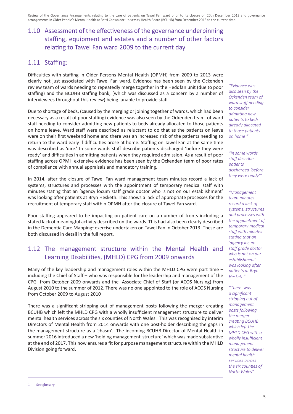## 1.10 Assessment of the effectiveness of the governance underpinning staffing, equipment and estates and a number of other factors relating to Tawel Fan ward 2009 to the current day

#### 1.11 Staffing:

Difficulties with staffing in Older Persons Mental Health (OPMH) from 2009 to 2013 were clearly not just associated with Tawel Fan ward. Evidence has been seen by the Ockenden review team of wards needing to repeatedly merge together in the Heddfan unit (due to poor staffing) and the BCUHB staffing bank, (which was discussed as a concern by a number of interviewees throughout this review) being unable to provide staff.

Due to shortage of beds, (caused by the merging or joining together of wards, which had been necessary as a result of poor staffing) evidence was also seen by the Ockenden team of ward staff needing to consider admitting new patients to beds already allocated to those patients on home leave. Ward staff were described as reluctant to do that as the patients on leave were on their first weekend home and there was an increased risk of the patients needing to return to the ward early if difficulties arose at home. Staffing on Tawel Fan at the same time was described as 'dire.' In some wards staff describe patients discharged 'before they were ready' and difficulties in admitting patients when they required admission. As a result of poor staffing across OPMH extensive evidence has been seen by the Ockenden team of poor rates of compliance with annual appraisals and mandatory training.

In 2014, after the closure of Tawel Fan ward management team minutes record a lack of systems, structures and processes with the appointment of temporary medical staff with minutes stating that an 'agency locum staff grade doctor who is not on our establishment' was looking after patients at Bryn Hesketh. This shows a lack of appropriate processes for the recruitment of temporary staff within OPMH after the closure of Tawel Fan ward.

Poor staffing appeared to be impacting on patient care on a number of fronts including a stated lack of meaningful activity described on the wards. This had also been clearly described in the Dementia Care Mapping<sup>1</sup> exercise undertaken on Tawel Fan in October 2013. These are both discussed in detail in the full report.

#### 1.12 The management structure within the Mental Health and Learning Disabilities, (MHLD) CPG from 2009 onwards

Many of the key leadership and management roles within the MHLD CPG were part time – including the Chief of Staff – who was responsible for the leadership and management of the CPG from October 2009 onwards and the Associate Chief of Staff (or ACOS Nursing) from August 2010 to the summer of 2012. There was no one appointed to the role of ACOS Nursing from October 2009 to August 2010

There was a significant stripping out of management posts following the merger creating BCUHB which left the MHLD CPG with a wholly insufficient management structure to deliver mental health services across the six counties of North Wales. This was recognised by interim Directors of Mental Health from 2014 onwards with one post-holder describing the gaps in the management structure as a 'chasm'. The incoming BCUHB Director of Mental Health in summer 2016 introduced a new 'holding management structure' which was made substantive at the end of 2017. This now ensures a fit for purpose management structure within the MHLD Division going forward.

*"Evidence was also seen by the Ockenden team of ward staff needing to consider admitting new patients to beds already allocated to those patients on home "*

*"In some wards staff describe patients discharged 'before they were ready'"*

*"Management team minutes record a lack of systems, structures and processes with the appointment of temporary medical staff with minutes stating that an 'agency locum staff grade doctor who is not on our establishment' was looking after patients at Bryn Hesketh"*

*"There was a significant stripping out of management posts following the merger creating BCUHB which left the MHLD CPG with a wholly insufficient management structure to deliver mental health services across the six counties of North Wales"*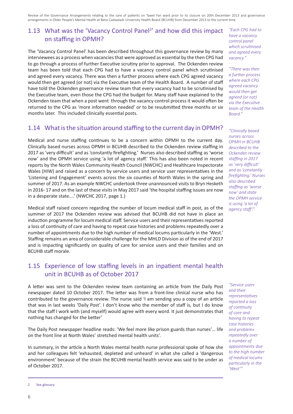## 1.13 What was the 'Vacancy Control Panel<sup>2</sup>' and how did this impact on staffing in OPMH?

The 'Vacancy Control Panel' has been described throughout this governance review by many interviewees as a process when vacancies that were approved as essential by the then CPG had to go through a process of further Executive scrutiny prior to approval. The Ockenden review team has been told that each CPG had to have a vacancy control panel which scrutinised and agreed every vacancy. There was then a further process where each CPG agreed vacancy would then get agreed (or not) via the Executive team of the Health Board. A number of staff have told the Ockenden governance review team that every vacancy had to be scrutinised by the Executive team, even those the CPG had the budget for. Many staff have explained to the Ockenden team that when a post went through the vacancy control process it would often be returned to the CPG as 'more information needed' or to be resubmitted three months or six months later. This included clinically essential posts.

#### 1.14 What is the situation around staffing to the current day in OPMH?

Medical and nurse staffing continues to be a concern within OPMH to the current day. Clinically based nurses across OPMH in BCUHB described to the Ockenden review staffing in 2017 as 'very difficult' and as 'constantly firefighting.' Nurses also described staffing as 'worse now' and the OPMH service using 'a lot of agency staff.' This has also been noted in recent reports by the North Wales Community Health Council (NWCHC) and Healthcare Inspectorate Wales (HIW) and raised as a concern by service users and service user representatives in the 'Listening and Engagement' events across the six counties of North Wales in the spring and summer of 2017. As an example NWCHC undertook three unannounced visits to Bryn Hesketh in 2016- 17 and on the last of these visits in May 2017 said 'the hospital staffing issues are now in a desperate state....' (NWCHC 2017, page 1.)

Medical staff raised concern regarding the number of locum medical staff in post, as of the summer of 2017 the Ockenden review was advised that BCUHB did not have in place an induction programme for locum medical staff. Service users and their representatives reported a loss of continuity of care and having to repeat case histories and problems repeatedly over a number of appointments due to the high number of medical locums particularly in the 'West.' Staffing remains an area of considerable challenge for the MHLD Division as of the end of 2017 and is impacting significantly on quality of care for service users and their families and on BCUHB staff morale.

#### 1.15 Experience of low staffing levels in an inpatient mental health unit in BCUHB as of October 2017

A letter was sent to the Ockenden review team containing an article from the Daily Post newspaper dated 10 October 2017. The letter was from a front-line clinical nurse who has contributed to the governance review. The nurse said 'I am sending you a copy of an article that was in last weeks 'Daily Post'. I don't know who the member of staff is, but I do know that the staff I work with (and myself) would agree with every word. It just demonstrates that nothing has changed for the better'

The Daily Post newspaper headline reads: 'We feel more like prison guards than nurses'… life on the front line at North Wales' stretched mental health units'.

In summary, in the article a North Wales mental health nurse professional spoke of how she and her colleagues felt 'exhausted, depleted and unheard' in what she called a 'dangerous environment' because of the strain the BCUHB mental health service was said to be under as of October 2017.

*"Each CPG had to have a vacancy control panel which scrutinised and agreed every vacancy."*

*"There was then a further process where each CPG agreed vacancy would then get agreed (or not) via the Executive team of the Health Board."*

*"Clinically based nurses across OPMH in BCUHB described to the Ockenden review staffing in 2017 as 'very difficult' and as 'constantly firefighting.' Nurses also described staffing as 'worse now' and state the OPMH service is using 'a lot of agency staff'."*

*"Service users and their representatives reported a loss of continuity of care and having to repeat case histories and problems repeatedly over a number of appointments due to the high number of medical locums particularly in the 'West'"*

<sup>2</sup> See glossary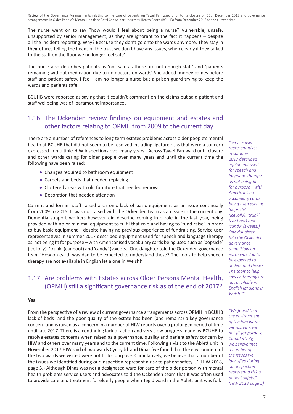The nurse went on to say ''how would I feel about being a nurse? Vulnerable, unsafe, unsupported by senior management, as they are ignorant to the fact it happens – despite all the incident reporting. Why? Because they don't go onto the wards anymore. They stay in their offices telling the heads of the trust we don't have any issues, when clearly if they talked to the staff on the floor we no longer feel safe'

The nurse also describes patients as 'not safe as there are not enough staff' and 'patients remaining without medication due to no doctors on wards' She added 'money comes before staff and patient safety. I feel I am no longer a nurse but a prison guard trying to keep the wards and patients safe'

BCUHB were reported as saying that it couldn't comment on the claims but said patient and staff wellbeing was of 'paramount importance'.

#### 1.16 The Ockenden review findings on equipment and estates and other factors relating to OPMH from 2009 to the current day

There are a number of references to long term estates problems across older people's mental health at BCUHB that did not seem to be resolved including ligature risks that were a concern expressed in multiple HIW inspections over many years. Across Tawel Fan ward until closure and other wards caring for older people over many years and until the current time the following have been raised:

- Changes required to bathroom equipment
- Carpets and beds that needed replacing
- Cluttered areas with old furniture that needed removal
- Decoration that needed attention

Current and former staff raised a chronic lack of basic equipment as an issue continually from 2009 to 2015. It was not raised with the Ockenden team as an issue in the current day. Dementia support workers however did describe coming into role in the last year, being provided with no or minimal equipment to fulfil that role and having to 'fund raise' in order to buy basic equipment – despite having no previous experience of fundraising. Service user representatives in summer 2017 described equipment used for speech and language therapy as not being fit for purpose – with Americanised vocabulary cards being used such as 'popsicle' (ice lolly), 'trunk' (car boot) and 'candy' (sweets.) One daughter told the Ockenden governance team 'How on earth was dad to be expected to understand these? The tools to help speech therapy are not available in English let alone in Welsh!'

#### 1.17 Are problems with Estates across Older Persons Mental Health, (OPMH) still a significant governance risk as of the end of 2017?

#### **Yes**

From the perspective of a review of current governance arrangements across OPMH in BCUHB lack of beds and the poor quality of the estate has been (and remains) a key governance concern and is raised as a concern in a number of HIW reports over a prolonged period of time until late 2017. There is a continuing lack of action and very slow progress made by BCUHB to resolve estates concerns when raised as a governance, quality and patient safety concern by HIW and others over many years and to the current time. Following a visit to the Ablett unit in November 2017 HIW said of two wards Cynnydd and Dinas 'we found that the environment of the two wards we visited were not fit for purpose. Cumulatively, we believe that a number of the issues we identified during our inspection represent a risk to patient safety....' (HIW 2018, page 3.) Although Dinas was not a designated ward for care of the older person with mental health problems service users and advocates told the Ockenden team that it was often used to provide care and treatment for elderly people when Tegid ward in the Ablett unit was full.

*representatives in summer 2017 described equipment used for speech and language therapy as not being fit for purpose – with Americanised vocabulary cards being used such as 'popsicle' (ice lolly), 'trunk' (car boot) and 'candy' (sweets.) One daughter told the Ockenden governance team 'How on earth was dad to be expected to understand these? The tools to help speech therapy are not available in English let alone in Welsh!'"*

*"Service user* 

*"We found that the environment of the two wards we visited were not fit for purpose. Cumulatively, we believe that a number of the issues we identified during our inspection represent a risk to patient safety." (HIW 2018 page 3)*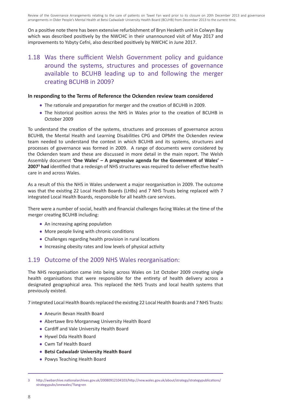On a positive note there has been extensive refurbishment of Bryn Hesketh unit in Colwyn Bay which was described positively by the NWCHC in their unannounced visit of May 2017 and improvements to Ysbyty Cefni, also described positively by NWCHC in June 2017.

#### 1.18 Was there sufficient Welsh Government policy and guidance around the systems, structures and processes of governance available to BCUHB leading up to and following the merger creating BCUHB in 2009?

#### **In responding to the Terms of Reference the Ockenden review team considered**

- The rationale and preparation for merger and the creation of BCUHB in 2009.
- The historical position across the NHS in Wales prior to the creation of BCUHB in October 2009

To understand the creation of the systems, structures and processes of governance across BCUHB, the Mental Health and Learning Disabilities CPG and OPMH the Ockenden review team needed to understand the context in which BCUHB and its systems, structures and processes of governance was formed in 2009. A range of documents were considered by the Ockenden team and these are discussed in more detail in the main report. The Welsh Assembly document **'One Wales' – A progressive agenda for the Government of Wales' – 20073 had** identified that a redesign of NHS structures was required to deliver effective health care in and across Wales.

As a result of this the NHS in Wales underwent a major reorganisation in 2009. The outcome was that the existing 22 Local Health Boards (LHBs) and 7 NHS Trusts being replaced with 7 integrated Local Health Boards, responsible for all health care services.

There were a number of social, health and financial challenges facing Wales at the time of the merger creating BCUHB including:

- An increasing ageing population
- More people living with chronic conditions
- Challenges regarding health provision in rural locations
- Increasing obesity rates and low levels of physical activity

#### 1.19 Outcome of the 2009 NHS Wales reorganisation:

The NHS reorganisation came into being across Wales on 1st October 2009 creating single health organisations that were responsible for the entirety of health delivery across a designated geographical area. This replaced the NHS Trusts and local health systems that previously existed.

7 integrated Local Health Boards replaced the existing 22 Local Health Boards and 7 NHS Trusts:

- Aneurin Bevan Health Board
- Abertawe Bro Morgannwg University Health Board
- Cardiff and Vale University Health Board
- Hywel Dda Health Board
- Cwm Taf Health Board
- **Betsi Cadwaladr University Health Board**
- Powys Teaching Health Board

<sup>3</sup> http://webarchive.nationalarchives.gov.uk/20080912104103/http://new.wales.gov.uk/about/strategy/strategypublications/ strategypubs/onewales/?lang=en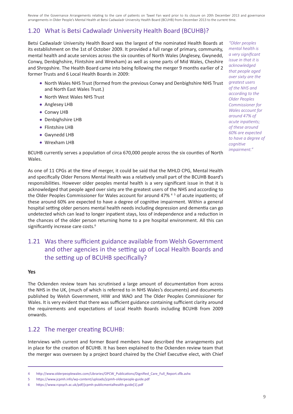### 1.20 What is Betsi Cadwaladr University Health Board (BCUHB)?

Betsi Cadwaladr University Health Board was the largest of the nominated Health Boards at its establishment on the 1st of October 2009. It provided a full range of primary, community, mental health and acute services across the six counties of North Wales (Anglesey, Gwynedd, Conwy, Denbighshire, Flintshire and Wrexham) as well as some parts of Mid Wales, Cheshire and Shropshire. The Health Board came into being following the merger 9 months earlier of 2 former Trusts and 6 Local Health Boards in 2009:

- North Wales NHS Trust (formed from the previous Conwy and Denbighshire NHS Trust and North East Wales Trust.)
- North West Wales NHS Trust
- Anglesey LHB
- Conwy LHB
- Denbighshire LHB
- Flintshire LHB
- Gwynedd LHB
- Wrexham LHB

BCUHB currently serves a population of circa 670,000 people across the six counties of North Wales.

As one of 11 CPGs at the time of merger, it could be said that the MHLD CPG, Mental Health and specifically Older Persons Mental Health was a relatively small part of the BCUHB Board's responsibilities. However older peoples mental health is a very significant issue in that it is acknowledged that people aged over sixty are the greatest users of the NHS and according to the Older Peoples Commissioner for Wales account for around 47% 45 of acute inpatients; of these around 60% are expected to have a degree of cognitive impairment. Within a general hospital setting older persons mental health needs including depression and dementia can go undetected which can lead to longer inpatient stays, loss of independence and a reduction in the chances of the older person returning home to a pre hospital environment. All this can significantly increase care costs.<sup>6</sup>

### 1.21 Was there sufficient guidance available from Welsh Government and other agencies in the setting up of Local Health Boards and the setting up of BCUHB specifically?

#### **Yes**

The Ockenden review team has scrutinised a large amount of documentation from across the NHS in the UK, (much of which is referred to in NHS Wales's documents) and documents published by Welsh Government, HIW and WAO and The Older Peoples Commissioner for Wales. It is very evident that there was sufficient guidance containing sufficient clarity around the requirements and expectations of Local Health Boards including BCUHB from 2009 onwards.

#### 1.22 The merger creating BCUHB:

Interviews with current and former Board members have described the arrangements put in place for the creation of BCUHB. It has been explained to the Ockenden review team that the merger was overseen by a project board chaired by the Chief Executive elect, with Chief

*"Older peoples mental health is a very significant issue in that it is acknowledged that people aged over sixty are the greatest users of the NHS and according to the Older Peoples Commissioner for Wales account for around 47% of acute inpatients; of these around 60% are expected to have a degree of cognitive impairment."*

<sup>4</sup> http://www.olderpeoplewales.com/Libraries/OPCW\_Publications/Dignified\_Care\_Full\_Report.sflb.ashx

<sup>5</sup> https://www.jcpmh.info/wp-content/uploads/jcpmh-olderpeople-guide.pdf

<sup>6</sup> https://www.rcpsych.ac.uk/pdf/jcpmh-publicmentalhealth-guide[1].pdf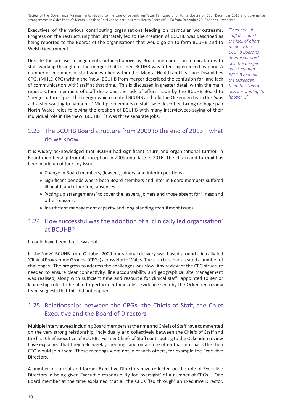Executives of the various contributing organisations leading on particular work-streams. Progress on the restructuring that ultimately led to the creation of BCUHB was described as being reported to the Boards of the organisations that would go on to form BCUHB and to Welsh Government.

Despite the precise arrangements outlined above by Board members communication with staff working throughout the merger that formed BCUHB was often experienced as poor. A number of members of staff who worked within the Mental Health and Learning Disabilities CPG, (MHLD CPG) within the 'new' BCUHB from merger described the confusion for (and lack of communication with) staff at that time. This is discussed in greater detail within the main report. Other members of staff described the lack of effort made by the BCUHB Board to 'merge cultures' post the merger which created BCUHB and told the Ockenden team this 'was a disaster waiting to happen....' Multiple members of staff have described taking on huge pan North Wales roles following the creation of BCUHB with many interviewees saying of their individual role in the 'new' BCUHB 'It was three separate jobs.'

*"Members of staff described the lack of effort made by the BCUHB Board to 'merge cultures' post the merger which created BCUHB and told the Ockenden team this 'was a disaster waiting to happen..."*

#### 1.23 The BCUHB Board structure from 2009 to the end of 2013 – what do we know?

It is widely acknowledged that BCUHB had significant churn and organisational turmoil in Board membership from its inception in 2009 until late in 2016. The churn and turmoil has been made up of four key issues

- Change in Board members, (leavers, joiners, and interim positions)
- Significant periods where both Board members and interim Board members suffered ill health and other long absences
- 'Acting up arrangements' to cover the leavers, joiners and those absent for illness and other reasons.
- Insufficient management capacity and long standing recruitment issues.

#### 1.24 How successful was the adoption of a 'clinically led organisation' at BCUHB?

It could have been, but it was not.

In the 'new' BCUHB from October 2009 operational delivery was based around clinically led 'Clinical Programme Groups' (CPGs) across North Wales. The structure had created a number of challenges. The progress to address the challenges was slow. Any review of the CPG structure needed to ensure clear connectivity, line accountability and geographical site management was realised, along with sufficient time and resource for clinical staff appointed to senior leadership roles to be able to perform in their roles. Evidence seen by the Ockenden review team suggests that this did not happen.

#### 1.25 Relationships between the CPGs, the Chiefs of Staff, the Chief Executive and the Board of Directors

Multiple interviewees including Board members at the time and Chiefs of Staff have commented on the very strong relationship, individually and collectively between the Chiefs of Staff and the first Chief Executive of BCUHB. Former Chiefs of Staff contributing to the Ockenden review have explained that they held weekly meetings and on a more often than not basis the then CEO would join them. These meetings were not joint with others, for example the Executive Directors.

A number of current and former Executive Directors have reflected on the role of Executive Directors in being given Executive responsibility for 'oversight' of a number of CPGs. One Board member at the time explained that all the CPGs 'fed through' an Executive Director.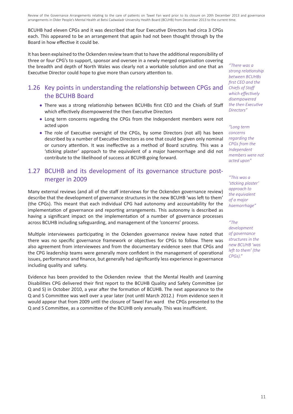BCUHB had eleven CPGs and it was described that four Executive Directors had circa 3 CPGs each. This appeared to be an arrangement that again had not been thought through by the Board in how effective it could be.

It has been explained to the Ockenden review team that to have the additional responsibility of three or four CPG's to support, sponsor and oversee in a newly merged organisation covering the breadth and depth of North Wales was clearly not a workable solution and one that an Executive Director could hope to give more than cursory attention to.

#### 1.26 Key points in understanding the relationship between CPGs and the BCUHB Board

- There was a strong relationship between BCUHBs first CEO and the Chiefs of Staff which effectively disempowered the then Executive Directors
- Long term concerns regarding the CPGs from the Independent members were not acted upon
- The role of Executive oversight of the CPGs, by some Directors (not all) has been described by a number of Executive Directors as one that could be given only nominal or cursory attention. It was ineffective as a method of Board scrutiny. This was a 'sticking plaster' approach to the equivalent of a major haemorrhage and did not contribute to the likelihood of success at BCUHB going forward.

#### 1.27 BCUHB and its development of its governance structure postmerger in 2009

Many external reviews (and all of the staff interviews for the Ockenden governance review) describe that the development of governance structures in the new BCUHB 'was left to them' (the CPGs). This meant that each individual CPG had autonomy and accountability for the implementation of governance and reporting arrangements. This autonomy is described as having a significant impact on the implementation of a number of governance processes across BCUHB including safeguarding, and management of the 'concerns' process.

Multiple interviewees participating in the Ockenden governance review have noted that there was no specific governance framework or objectives for CPGs to follow. There was also agreement from interviewees and from the documentary evidence seen that CPGs and the CPG leadership teams were generally more confident in the management of operational issues, performance and finance, but generally had significantly less experience in governance including quality and safety.

Evidence has been provided to the Ockenden review that the Mental Health and Learning Disabilities CPG delivered their first report to the BCUHB Quality and Safety Committee (or Q and S) in October 2010, a year after the formation of BCUHB. The next appearance to the Q and S Committee was well over a year later (not until March 2012.) From evidence seen it would appear that from 2009 until the closure of Tawel Fan ward the CPGs presented to the Q and S Committee, as a committee of the BCUHB only annually. This was insufficient.

*"There was a strong relationship between BCUHBs first CEO and the Chiefs of Staff which effectively disempowered the then Executive Directors"*

*"Long term concerns regarding the CPGs from the Independent members were not acted upon"*

*"This was a 'sticking plaster' approach to the equivalent of a major haemorrhage"*

*"The development of governance structures in the new BCUHB 'was left to them' (the CPGs)."*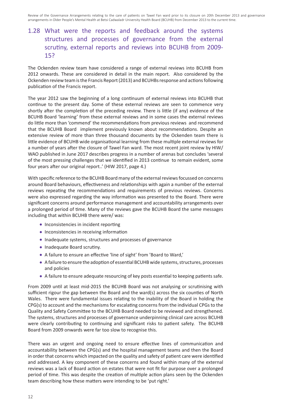## 1.28 What were the reports and feedback around the systems structures and processes of governance from the external scrutiny, external reports and reviews into BCUHB from 2009- 15?

The Ockenden review team have considered a range of external reviews into BCUHB from 2012 onwards. These are considered in detail in the main report. Also considered by the Ockenden review team is the Francis Report (2013) and BCUHBs response and actions following publication of the Francis report.

The year 2012 saw the beginning of a long continuum of external reviews into BCUHB that continue to the present day. Some of these external reviews are seen to commence very shortly after the completion of the preceding review. There is little (if any) evidence of the BCUHB Board 'learning' from these external reviews and in some cases the external reviews do little more than 'commend' the recommendations from previous reviews and recommend that the BCUHB Board implement previously known about recommendations. Despite an extensive review of more than three thousand documents by the Ockenden team there is little evidence of BCUHB wide organisational learning from these multiple external reviews for a number of years after the closure of Tawel Fan ward. The most recent joint review by HIW/ WAO published in June 2017 describes progress in a number of arenas but concludes 'several of the most pressing challenges that we identified in 2013 continue to remain evident, some four years after our original report..' (HIW 2017, page 4.)

With specific reference to the BCUHB Board many of the external reviews focussed on concerns around Board behaviours, effectiveness and relationships with again a number of the external reviews repeating the recommendations and requirements of previous reviews. Concerns were also expressed regarding the way information was presented to the Board. There were significant concerns around performance management and accountability arrangements over a prolonged period of time. Many of the reviews gave the BCUHB Board the same messages including that within BCUHB there were/ was:

- Inconsistencies in incident reporting
- **•** Inconsistencies in receiving information
- Inadequate systems, structures and processes of governance
- Inadequate Board scrutiny.
- A failure to ensure an effective 'line of sight' from 'Board to Ward,'
- A failure to ensure the adoption of essential BCUHB wide systems, structures, processes and policies
- A failure to ensure adequate resourcing of key posts essential to keeping patients safe.

From 2009 until at least mid-2015 the BCUHB Board was not analysing or scrutinising with sufficient rigour the gap between the Board and the ward(s) across the six counties of North Wales. There were fundamental issues relating to the inability of the Board in holding the CPG(s) to account and the mechanisms for escalating concerns from the individual CPGs to the Quality and Safety Committee to the BCUHB Board needed to be reviewed and strengthened. The systems, structures and processes of governance underpinning clinical care across BCUHB were clearly contributing to continuing and significant risks to patient safety. The BCUHB Board from 2009 onwards were far too slow to recognise this.

There was an urgent and ongoing need to ensure effective lines of communication and accountability between the CPG(s) and the hospital management teams and then the Board in order that concerns which impacted on the quality and safety of patient care were identified and addressed. A key component of these concerns and found within many of the external reviews was a lack of Board action on estates that were not fit for purpose over a prolonged period of time. This was despite the creation of multiple action plans seen by the Ockenden team describing how these matters were intending to be 'put right.'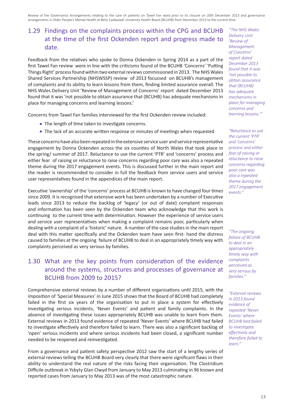### 1.29 Findings on the complaints process within the CPG and BCUHB at the time of the first Ockenden report and progress made to date.

Feedback from the relatives who spoke to Donna Ockenden in Spring 2014 as a part of the first Tawel Fan review were in line with the criticisms found of the BCUHB 'Concerns' 'Putting Things Right' process found within two external reviews commissioned in 2013. The NHS Wales Shared Services Partnership (NHSWSSP) review of 2013 focussed on BCUHB's management of complaints and its ability to learn lessons from them, finding limited assurance overall. The NHS Wales Delivery Unit 'Review of Management of Concerns' report dated December 2013 found that it was 'not possible to obtain assurance that (BCUHB) has adequate mechanisms in place for managing concerns and learning lessons.'

Concerns from Tawel Fan families interviewed for the first Ockenden review included:

- The length of time taken to investigate concerns.
- The lack of an accurate written response or minutes of meetings when requested

These concerns have also been repeated in the extensive service user and service representative engagement by Donna Ockenden across the six counties of North Wales that took place in the spring/ summer of 2017. Reluctance to use the current 'PTR' and 'concerns' process and either fear of raising or reluctance to raise concerns regarding poor care was also a repeated theme during the 2017 engagement events. This is discussed further in the main report and the reader is recommended to consider in full the feedback from service users and service user representatives found in the appendices of the main report.

Executive 'ownership' of the 'concerns' process at BCUHB is known to have changed four times since 2009. It is recognised that extensive work has been undertaken by a number of Executive leads since 2013 to reduce the backlog of 'legacy' (or out of date) complaint responses and information has been seen by the Ockenden team who acknowledge that this work is continuing to the current time with determination. However the experience of service users and service user representatives when making a complaint remains poor, particularly when dealing with a complaint of a 'historic' nature. A number of the case studies in the main report deal with this matter specifically and the Ockenden team have seen first- hand the distress caused to families at the ongoing failure of BCUHB to deal in an appropriately timely way with complaints perceived as very serious by families.

### 1.30 What are the key points from consideration of the evidence around the systems, structures and processes of governance at BCUHB from 2009 to 2015?

Comprehensive external reviews by a number of different organisations until 2015, with the imposition of 'Special Measures' in June 2015 shows that the Board of BCUHB had completely failed in the first six years of the organisation to put in place a system for effectively investigating serious incidents, 'Never Events' and patient and family complaints. In the absence of investigating these issues appropriately BCUHB was unable to learn from them. External reviews in 2013 found evidence of repeated 'Never Events' where BCUHB had failed to investigate effectively and therefore failed to learn. There was also a significant backlog of 'open' serious incidents and where serious incidents had been closed, a significant number needed to be reopened and reinvestigated.

From a governance and patient safety perspective 2012 saw the start of a lengthy series of external reviews telling the BCUHB Board very clearly that there were significant flaws in their ability to understand the real nature of the risks facing their organisation. The Clostridium Difficile outbreak in Ysbyty Glan Clwyd from January to May 2013 culminating in 96 known and reported cases from January to May 2013 was of the most catastrophic nature.

*"The NHS Wales Delivery Unit 'Review of Management of Concerns' report dated December 2013 found that it was 'not possible to obtain assurance that (BCUHB) has adequate mechanisms in place for managing concerns and learning lessons.'"*

*"Reluctance to use the current 'PTR' and 'concerns' process and either fear of raising or reluctance to raise concerns regarding poor care was also a repeated theme during the 2017 engagement events."*

*"The ongoing failure of BCUHB to deal in an appropriately timely way with complaints perceived as very serious by families."*

*"External reviews in 2013 found evidence of repeated 'Never Events' where BCUHB had failed to investigate effectively and therefore failed to learn."*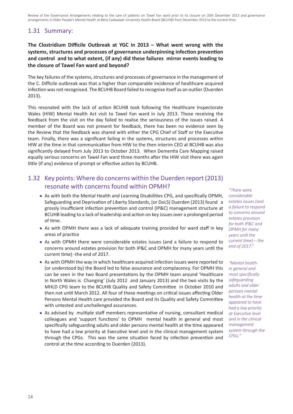### 1.31 Summary:

#### **The Clostridium Difficile Outbreak at YGC in 2013 – What went wrong with the systems, structures and processes of governance underpinning infection prevention and control and to what extent, (if any) did these failures mirror events leading to the closure of Tawel Fan ward and beyond?**

The key failures of the systems, structures and processes of governance in the management of the C. Difficile outbreak was that a higher than comparable incidence of healthcare acquired infection was not recognised. The BCUHB Board failed to recognise itself as an outlier (Duerden 2013).

This resonated with the lack of action BCUHB took following the Healthcare Inspectorate Wales (HIW) Mental Health Act visit to Tawel Fan ward in July 2013. Those receiving the feedback from the visit on the day failed to realise the seriousness of the issues raised. A member of the Board was not present for feedback, there has been no evidence seen by the Review that the feedback was shared with either the CPG Chief of Staff or the Executive team. Finally, there was a significant failing in the systems, structures and processes within HIW at the time in that communication from HIW to the then interim CEO at BCUHB was also significantly delayed from July 2013 to October 2013. When Dementia Care Mapping raised equally serious concerns on Tawel Fan ward three months after the HIW visit there was again little (if any) evidence of prompt or effective action by BCUHB.

#### 1.32 Key points: Where do concerns within the Duerden report (2013) resonate with concerns found within OPMH?

- As with both the Mental Health and Learning Disabilities CPG, and specifically OPMH, Safeguarding and Deprivation of Liberty Standards, (or DoLS) Duerden (2013) found a grossly insufficient infection prevention and control (IP&C) management structure at BCUHB leading to a lack of leadership and action on key issues over a prolonged period of time.
- As with OPMH there was a lack of adequate training provided for ward staff in key areas of practice
- As with OPMH there were considerable estates issues (and a failure to respond to concerns around estates provision for both IP&C and OPMH for many years until the current time) -the end of 2017.
- As with OPMH the way in which healthcare acquired infection issues were reported to (or understood by) the Board led to false assurance and complacency. For OPMH this can be seen in the two Board presentations by the OPMH team around 'Healthcare in North Wales is Changing' (July 2012 and January 2013) and the two visits by the MHLD CPG team to the BCUHB Quality and Safety Committee in October 2010 and then not until March 2012. All four of these meetings on critical issues affecting Older Persons Mental Health care provided the Board and its Quality and Safety Committee with untested and unchallenged assurances.
- As advised by multiple staff members representative of nursing, consultant medical colleagues and 'support functions' to OPMH mental health in general and most specifically safeguarding adults and older persons mental health at the time appeared to have had a low priority at Executive level and in the clinical management system through the CPGs. This was the same situation faced by infection prevention and control at the time according to Duerden (2013).

*"There were considerable estates issues (and a failure to respond to concerns around estates provision for both IP&C and OPMH for many years until the current time) – the end of 2017."*

*"Mental health in general and most specifically safeguarding adults and older persons mental health at the time appeared to have had a low priority at Executive level and in the clinical management system through the CPGs."*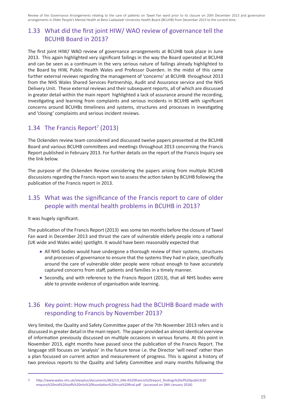#### 1.33 What did the first joint HIW/ WAO review of governance tell the BCUHB Board in 2013?

The first joint HIW/ WAO review of governance arrangements at BCUHB took place in June 2013. This again highlighted very significant failings in the way the Board operated at BCUHB and can be seen as a continuum in the very serious nature of failings already highlighted to the Board by HIW, Public Health Wales and Professor Duerden. In the midst of this came further external reviews regarding the management of 'concerns' at BCUHB throughout 2013 from the NHS Wales Shared Services Partnership, Audit and Assurance service and the NHS Delivery Unit. These external reviews and their subsequent reports, all of which are discussed in greater detail within the main report highlighted a lack of assurance around the recording, investigating and learning from complaints and serious incidents in BCUHB with significant concerns around BCUHBs timeliness and systems, structures and processes in investigating and 'closing' complaints and serious incident reviews.

#### 1.34 The Francis Report<sup>7</sup> (2013)

The Ockenden review team considered and discussed twelve papers presented at the BCUHB Board and various BCUHB committees and meetings throughout 2013 concerning the Francis Report published in February 2013. For further details on the report of the Francis Inquiry see the link below.

The purpose of the Ockenden Review considering the papers arising from multiple BCUHB discussions regarding the Francis report was to assess the action taken by BCUHB following the publication of the Francis report in 2013.

#### 1.35 What was the significance of the Francis report to care of older people with mental health problems in BCUHB in 2013?

It was hugely significant.

The publication of the Francis Report (2013) was some ten months before the closure of Tawel Fan ward in December 2013 and thrust the care of vulnerable elderly people into a national (UK wide and Wales wide) spotlight. It would have been reasonably expected that

- All NHS bodies would have undergone a thorough review of their systems, structures and processes of governance to ensure that the systems they had in place, specifically around the care of vulnerable older people were robust enough to have accurately captured concerns from staff, patients and families in a timely manner.
- Secondly, and with reference to the Francis Report (2013), that all NHS bodies were able to provide evidence of organisation wide learning.

#### 1.36 Key point: How much progress had the BCUHB Board made with responding to Francis by November 2013?

Very limited, the Quality and Safety Committee paper of the 7th November 2013 refers and is discussed in greater detail in the main report. The paper provided an almost identical overview of information previously discussed on multiple occasions in various forums. At this point in November 2013, eight months have passed since the publication of the Francis Report. The language still focuses on 'analysis' in the future tense i.e. the Director 'will need' rather than a plan focussed on current action and measurement of progress. This is against a history of two previous reports to the Quality and Safety Committee and many months following the

<sup>7</sup> http://www.wales.nhs.uk/sitesplus/documents/861/13\_046.4%20francis%20report\_findings%20of%20public%20 enquiry%20mid%20staffs%20nhs%20foundation%20trust%20final.pdf (accessed on 28th January 2018)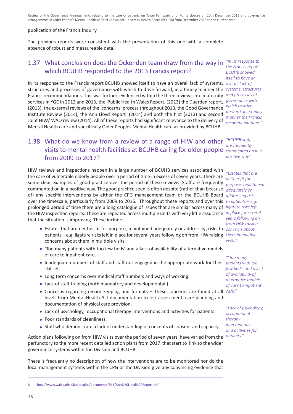#### publication of the Francis Inquiry.

The previous reports were consistent with the presentation of this one with a complete absence of robust and measureable data.

#### 1.37 What conclusion does the Ockenden team draw from the way in *"In its response to*  which BCUHB responded to the 2013 Francis report?

In its response to the Francis report BCUHB showed itself to have an overall lack of systems, *overall lack of*  structures and processes of governance with which to drive forward, in a timely manner the *systems, structures*  Francis recommendations. This was further evidenced within the three reviews into maternity *and processes of*  services in YGC in 2012 and 2013, the Public Health Wales Report, (2013) the Duerden report, (2013), the external reviews of the 'concerns' process throughout 2013, the Good Governance Institute Review (2014), the Ann Lloyd Report<sup>8</sup> (2014) and both the first (2013) and second Joint HIW/ WAO review (2014). All of these reports had significant relevance to the delivery of Mental Health care and specifically Older Peoples Mental Health care as provided by BCUHB.

## 1.38 What do we know from a review of a range of HIW and other *"BCUHB staff*  visits to mental health facilities at BCUHB caring for older people *commented on in a*  from 2009 to 2017?

HIW reviews and inspections happen in a large number of BCUHB services associated with the care of vulnerable elderly people over a period of time in excess of seven years. There are some clear examples of good practice over the period of these reviews. Staff are frequently *purpose, maintained*  commented on in a positive way. The good practice seen is often despite (rather than because *adequately or*  of) any specific interventions by either the CPG management team or the BCUHB Board *addressing risks*  over the timescale, particularly from 2009 to 2016. Throughout these reports and over this *to patients – e.g.*  prolonged period of time there are a long catalogue of issues that are similar across many of *ligature risks left*  the HIW inspection reports. These are repeated across multiple units with very little assurance *in place for several*  that the situation is improving. These include:

- Estates that are neither fit for purpose, maintained adequately or addressing risks to *concerns about*  patients – e.g. ligature risks left in place for several years following on from HIW raising *them in multiple*  concerns about them in multiple visits
- 'Too many patients with too few beds' and a lack of availability of alternative models of care to inpatient care.
- Inadequate numbers of staff and staff not engaged in the appropriate work for their *patients with too*  skillset.
- Long term concerns over medical staff numbers and ways of working.
- Lack of staff training (both mandatory and developmental.)
- Concerns regarding record keeping and formats These concerns are found at all *care."* levels from Mental Health Act documentation to risk assessment, care planning and documentation of physical care provision.
- Lack of psychology, occupational therapy interventions and activities for patients
- Poor standards of cleanliness.
- Staff who demonstrate a lack of understanding of concepts of consent and capacity.

Action plans following on from HIW visits over the period of seven years have varied from the perfunctory to the more recent detailed action plans from 2017 that start to link to the wider governance systems within the Division and BCUHB.

There is frequently no description of how the interventions are to be monitored nor do the local management systems within the CPG or the Division give any convincing evidence that

*the Francis report BCUHB showed itself to have an governance with which to drive forward, in a timely manner the Francis recommendations."*

*are frequently positive way."*

*"Estates that are neither fit for years following on from HIW raising visits"*

*"'Too many few beds' and a lack of availability of alternative models of care to inpatient* 

*"Lack of psychology, occupational therapy interventions and activities for patients."*

<sup>8</sup> http://www.wales.nhs.uk/sitesplus/documents/861/Ann%20Lloyd%20Report.pdf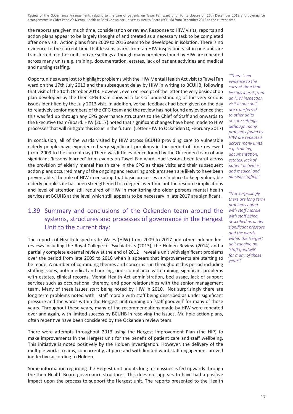the reports are given much time, consideration or review. Response to HIW visits, reports and action plans appear to be largely thought of and treated as a necessary task to be completed after one visit. Action plans from 2009 to 2016 seem to be developed in isolation. There is no evidence to the current time that lessons learnt from an HIW inspection visit in one unit are transferred to other units or care settings although many problems found by HIW are repeated across many units e.g. training, documentation, estates, lack of patient activities and medical and nursing staffing.

Opportunities were lost to highlight problems with the HIW Mental Health Act visit to Tawel Fan ward on the 17th July 2013 and the subsequent delay by HIW in writing to BCUHB, following that visit of the 10th October 2013. However, even on receipt of the letter the very basic action plan developed by the then CPG team showed a lack of understanding of the very serious issues identified by the July 2013 visit. In addition, verbal feedback had been given on the day to relatively senior members of the CPG team and the review has not found any evidence that this was fed up through any CPG governance structures to the Chief of Staff and onwards to the Executive team/Board. HIW (2017) noted that significant changes have been made to HIW processes that will mitigate this issue in the future. (Letter HIW to Ockenden D, February 2017)

In conclusion, all of the wards visited by HIW across BCUHB providing care to vulnerable elderly people have experienced very significant problems in the period of time reviewed (from 2009 to the current day.) There was little evidence found by the Ockenden team of any significant 'lessons learned' from events on Tawel Fan ward. Had lessons been learnt across the provision of elderly mental health care in the CPG as these visits and their subsequent action plans occurred many of the ongoing and recurring problems seen are likely to have been preventable. The role of HIW in ensuring that basic processes are in place to keep vulnerable elderly people safe has been strengthened to a degree over time but the resource implications and level of attention still required of HIW in monitoring the older persons mental health services at BCUHB at the level which still appears to be necessary in late 2017 are significant.

### 1.39 Summary and conclusions of the Ockenden team around the systems, structures and processes of governance in the Hergest Unit to the current day:

The reports of Health Inspectorate Wales (HIW) from 2009 to 2017 and other independent reviews including the Royal College of Psychiatrists (2013), the Holden Review (2014) and a partially complete external review at the end of 2012 reveal a unit with significant problems over the period from late 2009 to 2016 when it appears that improvements are starting to be made. A number of continuing themes and concerns run throughout this period including staffing issues, both medical and nursing, poor compliance with training, significant problems with estates, clinical records, Mental Health Act administration, bed usage, lack of support services such as occupational therapy, and poor relationships with the senior management team. Many of these issues start being noted by HIW in 2010. Not surprisingly there are long term problems noted with staff morale with staff being described as under significant pressure and the wards within the Hergest unit running on 'staff goodwill' for many of those years. Throughout these years, many of the recommendations made by HIW were repeated over and again, with limited success by BCUHB in resolving the issues. Multiple action plans, often repetitive have been considered by the Ockenden review team.

There were attempts throughout 2013 using the Hergest Improvement Plan (the HIP) to make improvements in the Hergest unit for the benefit of patient care and staff wellbeing. This initiative is noted positively by the Holden investigation. However, the delivery of the multiple work streams, concurrently, at pace and with limited ward staff engagement proved ineffective according to Holden.

Some information regarding the Hergest unit and its long term issues is fed upwards through the then Health Board governance structures. This does not appears to have had a positive impact upon the process to support the Hergest unit. The reports presented to the Health

*"There is no evidence to the current time that lessons learnt from an HIW inspection visit in one unit are transferred to other units or care settings although many problems found by HIW are repeated across many units e.g. training, documentation, estates, lack of patient activities and medical and nursing staffing."*

*"Not surprisingly there are long term problems noted with staff morale with staff being described as under significant pressure and the wards within the Hergest unit running on 'staff goodwill' for many of those years."*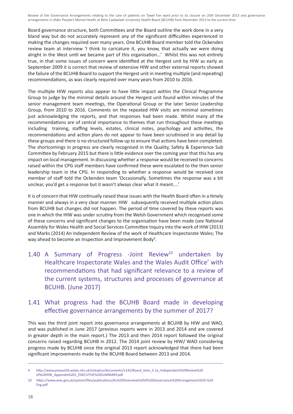Board governance structure, both Committees and the Board outline the work done in a very bland way but do not accurately represent any of the significant difficulties experienced in making the changes required over many years. One BCUHB Board member told the Ockenden review team at interview 'I think to caricature it, you know, that actually we were doing alright in the West until we became part of this organisation…' Whilst this was not entirely true, in that some issues of concern were identified at the Hergest unit by HIW as early as September 2009 it is correct that review of extensive HIW and other external reports showed the failure of the BCUHB Board to support the Hergest unit in meeting multiple (and repeating) recommendations, as was clearly required over many years from 2010 to 2016.

The multiple HIW reports also appear to have little impact within the Clinical Programme Group to judge by the minimal details around the Hergest unit found within minutes of the senior management team meetings, the Operational Group or the later Senior Leadership Group, from 2010 to 2016. Comments on the repeated HIW visits are minimal sometimes just acknowledging the reports, and that responses had been made. Whilst many of the recommendations are of central importance to themes that run throughout these meetings including training, staffing levels, estates, clinical notes, psychology and activities, the recommendations and action plans do not appear to have been scrutinised in any detail by these groups and there is no structured follow up to ensure that actions have been completed. The shortcomings in progress are clearly recognised in the Quality, Safety & Experience Sub Committee by February 2015 but there is little evidence over the coming year that this has any impact on local management. In discussing whether a response would be received to concerns raised within the CPG staff members have confirmed these were escalated to the then senior leadership team in the CPG. In responding to whether a response would be received one member of staff told the Ockenden team 'Occasionally. Sometimes the response was a bit unclear, you'd get a response but it wasn't always clear what it meant....'

It is of concern that HIW continually raised these issues with the Health Board often in a timely manner and always in a very clear manner. HIW subsequently received multiple action plans from BCUHB but changes did not happen. The period of time covered by these reports was one in which the HIW was under scrutiny from the Welsh Government which recognised some of these concerns and significant changes to the organisation have been made (see National Assembly for Wales Health and Social Services Committee Inquiry into the work of HIW (2013) and Marks (2014) An Independent Review of the work of Healthcare Inspectorate Wales; The way ahead to become an Inspection and Improvement Body<sup>9</sup>.

1.40 A Summary of Progress -Joint Review<sup>10</sup> undertaken by Healthcare Inspectorate Wales and the Wales Audit Office' with recommendations that had significant relevance to a review of the current systems, structures and processes of governance at BCUHB. (June 2017)

#### 1.41 What progress had the BCUHB Board made in developing effective governance arrangements by the summer of 2017?

This was the third joint report into governance arrangements at BCUHB by HIW and WAO, and was published in June 2017 (previous reports were in 2013 and 2014 and are covered in greater depth in the main report.) The 2013 and then 2014 report followed the original concerns raised regarding BCUHB in 2012. The 2014 joint review by HIW/ WAO considering progress made by BCUHB since the original 2013 report acknowledged that there had been significant improvements made by the BCUHB Board between 2013 and 2014.

<sup>9</sup> http://www.powysthb.wales.nhs.uk/sitesplus/documents/1145/Board\_Item\_5.1a\_Independent%20Review%20 of%20HIW\_Appendix%201\_EXECUTIVE%20SUMMARY.pdf

<sup>10</sup> https://www.wao.gov.uk/system/files/publications/An%20Overview%20of%20Governance%20Arrangements%20-%20 Eng.pdf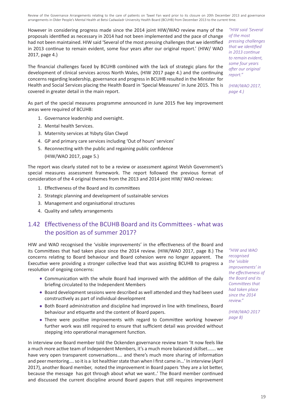However in considering progress made since the 2014 joint HIW/WAO review many of the proposals identified as necessary in 2014 had not been implemented and the pace of change had not been maintained. HIW said 'Several of the most pressing challenges that we identified in 2013 continue to remain evident, some four years after our original report.' (HIW/ WAO 2017, page 4.)

The financial challenges faced by BCUHB combined with the lack of strategic plans for the development of clinical services across North Wales, (HIW 2017 page 4.) and the continuing concerns regarding leadership, governance and progress in BCUHB resulted in the Minister for Health and Social Services placing the Health Board in 'Special Measures' in June 2015. This is covered in greater detail in the main report.

As part of the special measures programme announced in June 2015 five key improvement areas were required of BCUHB:

- 1. Governance leadership and oversight.
- 2. Mental health Services.
- 3. Maternity services at Ysbyty Glan Clwyd
- 4. GP and primary care services including 'Out of hours' services'
- 5. Reconnecting with the public and regaining public confidence
	- (HIW/WAO 2017, page 5.)

The report was clearly stated not to be a review or assessment against Welsh Government's special measures assessment framework. The report followed the previous format of consideration of the 4 original themes from the 2013 and 2014 joint HIW/ WAO reviews:

- 1. Effectiveness of the Board and its committees
- 2. Strategic planning and development of sustainable services
- 3. Management and organisational structures
- 4. Quality and safety arrangements

#### 1.42 Effectiveness of the BCUHB Board and its Committees - what was the position as of summer 2017?

HIW and WAO recognised the 'visible improvements' in the effectiveness of the Board and its Committees that had taken place since the 2014 review. (HIW/WAO 2017, page 8.) The concerns relating to Board behaviour and Board cohesion were no longer apparent. The Executive were providing a stronger collective lead that was assisting BCUHB to progress a resolution of ongoing concerns:

- Communication with the whole Board had improved with the addition of the daily briefing circulated to the Independent Members
- Board development sessions were described as well attended and they had been used constructively as part of individual development
- Both Board administration and discipline had improved in line with timeliness, Board behaviour and etiquette and the content of Board papers.
- There were positive improvements with regard to Committee working however further work was still required to ensure that sufficient detail was provided without stepping into operational management function.

In interview one Board member told the Ockenden governance review team 'It now feels like a much more active team of Independent Members, it's a much more balanced skillset……. we have very open transparent conversations…. and there's much more sharing of information and peer mentoring…. so it is a lot healthier state than when I first came in…' In interview (April 2017), another Board member, noted the improvement in Board papers 'they are a lot better, because the message has got through about what we want..' The Board member continued and discussed the current discipline around Board papers that still requires improvement

*"HIW said 'Several of the most pressing challenges that we identified in 2013 continue to remain evident, some four years after our original report."*

*(HIW/WAO 2017, page 4.)*

*"HIW and WAO recognised the 'visible improvements' in the effectiveness of the Board and its Committees that had taken place since the 2014 review."*

*(HIW/WAO 2017 page 8)*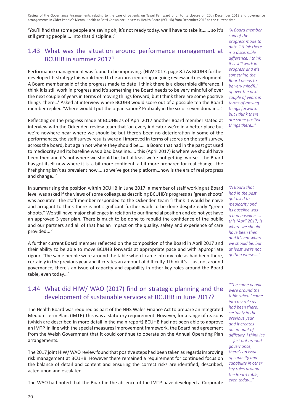'You'll find that some people are saying oh, it's not ready today, we'll have to take it,…… so it's still getting people…. into that discipline..'

#### 1.43 What was the situation around performance management at BCUHB in summer 2017?

Performance management was found to be improving. (HIW 2017, page 8.) As BCUHB further developed its strategy this would need to be an area requiring ongoing review and development. A Board member said of the progress made to date 'I think there is a discernible difference. I think it is still work in progress and it's something the Board needs to be very mindful of over the next couple of years in terms of moving things forward, but I think there are some positive things there…' Asked at interview where BCUHB would score out of a possible ten the Board member replied 'Where would I put the organisation? Probably in the six or seven domain....'

Reflecting on the progress made at BCUHB as of April 2017 another Board member stated at interview with the Ockenden review team that 'on every indicator we're in a better place but we're nowhere near where we should be but there's been no deterioration in some of the performances, the staff survey results were all improved in terms of scores on the staff survey, across the board, but again not where they should be…… a Board that had in the past got used to mediocrity and its baseline was a bad baseline….. this (April 2017) is where we should have been then and it's not where we should be, but at least we're not getting worse….the Board has got itself now where it is a bit more confident, a bit more prepared for real change…the firefighting isn't as prevalent now…. so we've got the platform…now is the era of real progress and change…'

In summarising the position within BCUHB in June 2017 a member of staff working at Board level was asked if the views of some colleagues describing BCUHB's progress as 'green shoots' was accurate. The staff member responded to the Ockenden team 'I think it would be naïve and arrogant to think there is not significant further work to be done despite early "green shoots.'' We still have major challenges in relation to our financial position and do not yet have an approved 3 year plan. There is much to be done to rebuild the confidence of the public and our partners and all of that has an impact on the quality, safety and experience of care provided....'

A further current Board member reflected on the composition of the Board in April 2017 and their ability to be able to move BCUHB forwards at appropriate pace and with appropriate rigour. 'The same people were around the table when I came into my role as had been there, certainly in the previous year and it creates an amount of difficulty. I think it's… just not around governance, there's an issue of capacity and capability in other key roles around the Board table, even today…'

#### 1.44 What did HIW/ WAO (2017) find on strategic planning and the development of sustainable services at BCUHB in June 2017?

The Health Board was required as part of the NHS Wales Finance Act to prepare an Integrated Medium Term Plan. (IMTP) This was a statutory requirement. However, for a range of reasons (which are described in more detail in the main report) BCUHB had not been able to approve an IMTP. In line with the special measures improvement framework, the Board had agreement from the Welsh Government that it could continue to operate on the Annual Operating Plan arrangements.

The 2017 joint HIW/ WAO review found that positive steps had been taken as regards improving risk management at BCUHB. However there remained a requirement for continued focus on the balance of detail and content and ensuring the correct risks are identified, described, acted upon and escalated.

The WAO had noted that the Board in the absence of the IMTP have developed a Corporate

*"A Board member said of the progress made to date 'I think there is a discernible difference. I think it is still work in progress and it's something the Board needs to be very mindful of over the next couple of years in terms of moving things forward, but I think there are some positive things there..."*

*"A Board that had in the past got used to mediocrity and its baseline was a bad baseline….. this (April 2017) is where we should have been then and it's not where we should be, but at least we're not getting worse…."*

*"The same people were around the table when I came into my role as had been there, certainly in the previous year and it creates an amount of difficulty. I think it's ... just not around governance, there's an issue of capacity and capability in other key roles around the Board table, even today…"*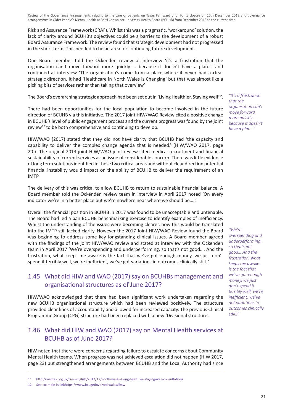Risk and Assurance Framework (CRAF). Whilst this was a pragmatic, 'workaround' solution, the lack of clarity around BCUHB's objectives could be a barrier to the development of a robust Board Assurance Framework. The review found that strategic development had not progressed in the short term. This needed to be an area for continuing future development.

One Board member told the Ockenden review at interview 'it's a frustration that the organisation can't move forward more quickly….. because it doesn't have a plan…' and continued at interview 'The organisation's come from a place where it never had a clear strategic direction. It had 'Healthcare in North Wales is Changing' but that was almost like a picking bits of services rather than taking that overview'

The Board's overarching strategic approach had been set out in 'Living Healthier, Staying Well<sup>11'</sup>.

There had been opportunities for the local population to become involved in the future direction of BCUHB via this initiative. The 2017 joint HIW/WAO Review cited a positive change in BCUHB's level of public engagement process and the current progress was found by the joint review<sup>12</sup> to be both comprehensive and continuing to develop.

HIW/WAO (2017) stated that they did not have clarity that BCUHB had 'the capacity and capability to deliver the complex change agenda that is needed.' (HIW/WAO 2017, page 20.) The original 2013 joint HIW/WAO joint review cited medical recruitment and financial sustainability of current services as an issue of considerable concern. There was little evidence of long term solutions identified in these two critical areas and without clear direction potential financial instability would impact on the ability of BCUHB to deliver the requirement of an IMTP

The delivery of this was critical to allow BCUHB to return to sustainable financial balance. A Board member told the Ockenden review team in interview in April 2017 noted 'On every indicator we're in a better place but we're nowhere near where we should be…..'

Overall the financial position in BCUHB in 2017 was found to be unacceptable and untenable. The Board had led a pan BCUHB benchmarking exercise to identify examples of inefficiency. Whilst the understanding of the issues were becoming clearer, how this would be translated into the IMTP still lacked clarity. However the 2017 Joint HIW/WAO Review found the Board was beginning to address some key longstanding clinical issues. A Board member agreed with the findings of the joint HIW/WAO review and stated at interview with the Ockenden team in April 2017 'We're overspending and underperforming, so that's not good…. And the frustration, what keeps me awake is the fact that we've got enough money, we just don't spend it terribly well, we're inefficient, we've got variations in outcomes clinically still..'

#### 1.45 What did HIW and WAO (2017) say on BCUHBs management and organisational structures as of June 2017?

HIW/WAO acknowledged that there had been significant work undertaken regarding the new BCUHB organisational structure which had been reviewed positively. The structure provided clear lines of accountability and allowed for increased capacity. The previous Clinical Programme Group (CPG) structure had been replaced with a new 'Divisional structure'.

#### 1.46 What did HIW and WAO (2017) say on Mental Health services at BCUHB as of June 2017?

HIW noted that there were concerns regarding failure to escalate concerns about Community Mental Health teams. When progress was not achieved escalation did not happen (HIW 2017, page 23) but strengthened arrangements between BCUHB and the Local Authority had since

*"It's a frustration that the organisation can't move forward more quickly….. because it doesn't have a plan…"*

*"We're overspending and underperforming, so that's not good….And the frustration, what keeps me awake is the fact that we've got enough money, we just don't spend it terribly well, we're inefficient, we've got variations in outcomes clinically still.."*

<sup>11</sup> http://wames.org.uk/cms-english/2017/12/north-wales-living-healthier-staying-well-consultation/

<sup>12</sup> See example in linkhttps://www.bcugetinvolved.wales/lhsw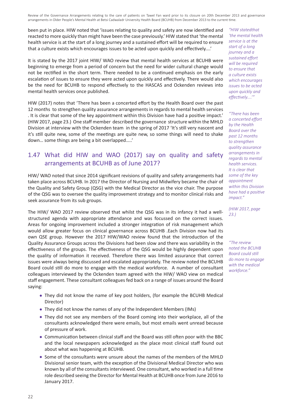been put in place. HIW noted that 'issues relating to quality and safety are now identified and reacted to more quickly than might have been the case previously.' HIW stated that 'the mental health service is at the start of a long journey and a sustained effort will be required to ensure that a culture exists which encourages issues to be acted upon quickly and effectively....'

It is stated by the 2017 joint HIW/ WAO review that mental health services at BCUHB were beginning to emerge from a period of concern but the need for wider cultural change would not be rectified in the short term. There needed to be a continued emphasis on the early escalation of issues to ensure they were acted upon quickly and effectively. There would also be the need for BCUHB to respond effectively to the HASCAS and Ockenden reviews into mental health services once published.

HIW (2017) notes that 'There has been a concerted effort by the Health Board over the past 12 months to strengthen quality assurance arrangements in regards to mental health services . It is clear that some of the key appointment within this Division have had a positive impact.' (HIW 2017, page 23.) One staff member described the governance structure within the MHLD Division at interview with the Ockenden team in the spring of 2017 'It's still very nascent and it's still quite new, some of the meetings are quite new, so some things will need to shake down… some things are being a bit overlapped…..'

#### 1.47 What did HIW and WAO (2017) say on quality and safety arrangements at BCUHB as of June 2017?

HIW/ WAO noted that since 2014 significant revisions of quality and safety arrangements had taken place across BCUHB. In 2017 the Director of Nursing and Midwifery became the chair of the Quality and Safety Group (QSG) with the Medical Director as the vice chair. The purpose of the QSG was to oversee the quality improvement strategy and to monitor clinical risks and seek assurance from its sub groups.

The HIW/ WAO 2017 review observed that whilst the QSG was in its infancy it had a wellstructured agenda with appropriate attendance and was focussed on the correct issues. Areas for ongoing improvement included a stronger integration of risk management which would allow greater focus on clinical governance across BCUHB .Each Division now had its own QSE group. However the 2017 HIW/WAO review found that the introduction of the Quality Assurance Groups across the Divisions had been slow and there was variability in the effectiveness of the groups. The effectiveness of the QSG would be highly dependent upon the quality of information it received. Therefore there was limited assurance that correct issues were always being discussed and escalated appropriately. The review noted the BCUHB Board could still do more to engage with the medical workforce. A number of consultant colleagues interviewed by the Ockenden team agreed with the HIW/ WAO view on medical staff engagement. These consultant colleagues fed back on a range of issues around the Board saying:

- They did not know the name of key post holders, (for example the BCUHB Medical Director)
- They did not know the names of any of the Independent Members (IMs)
- They did not see any members of the Board coming into their workplace, all of the consultants acknowledged there were emails, but most emails went unread because of pressure of work.
- Communication between clinical staff and the Board was still often poor with the BBC and the local newspapers acknowledged as the place most clinical staff found out about what was happening at BCUHB.
- Some of the consultants were unsure about the names of the members of the MHLD Divisional senior team, with the exception of the Divisional Medical Director who was known by all of the consultants interviewed. One consultant, who worked in a full time role described seeing the Director for Mental Health at BCUHB once from June 2016 to January 2017.

*"HIW statedthat 'the mental health service is at the start of a long journey and a sustained effort will be required to ensure that a culture exists which encourages issues to be acted upon quickly and effectively....'"*

*"There has been a concerted effort by the Health Board over the past 12 months to strengthen quality assurance arrangements in regards to mental health services. It is clear that some of the key appointment within this Division have had a positive impact."* 

*(HIW 2017, page 23.)*

*"The review noted the BCUHB Board could still do more to engage with the medical workforce."*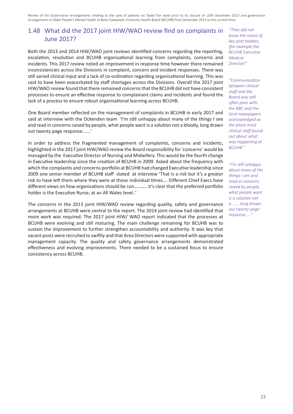### 1.48 What did the 2017 joint HIW/WAO review find on complaints in June 2017?

Both the 2013 and 2014 HIW/WAO joint reviews identified concerns regarding the reporting, escalation, resolution and BCUHB organisational learning from complaints, concerns and incidents. This 2017 review noted an improvement in response time however there remained inconsistencies across the Divisions in complaint, concern and incident responses. There was still varied clinical input and a lack of co-ordination regarding organisational learning. This was said to have been exacerbated by staff shortages across the Divisions. Overall the 2017 joint HIW/WAO review found that there remained concerns that the BCUHB did not have consistent processes to ensure an effective response to complainant claims and incidents and found the lack of a process to ensure robust organisational learning across BCUHB.

One Board member reflected on the management of complaints in BCUHB in early 2017 and said at interview with the Ockenden team 'I'm still unhappy about many of the things I see and read in concerns raised by people, what people want is a solution not a bloody, long drawn out twenty page response…….'

In order to address the fragmented management of complaints, concerns and incidents, highlighted in the 2017 joint HIW/WAO review the Board responsibility for 'concerns' would be managed by the Executive Director of Nursing and Midwifery. This would be the fourth change in Executive leadership since the creation of BCUHB in 2009. Asked about the frequency with which the complaints and concerns portfolio at BCUHB had changed Executive leadership since 2009 one senior member of BCUHB staff stated at interview 'That is a risk but it's a greater risk to have left them where they were at those individual times…. Different Chief Execs have different views on how organisations should be run……….. it's clear that the preferred portfolio holder is the Executive Nurse, at an All Wales level..'

The concerns in the 2013 joint HIW/WAO review regarding quality, safety and governance arrangements at BCUHB were central to the report. The 2014 joint review had identified that more work was required. The 2017 joint HIW/ WAO report indicated that the processes at BCUHB were evolving and still maturing. The main challenge remaining for BCUHB was to sustain the improvement to further strengthen accountability and authority. It was key that vacant posts were recruited to swiftly and that Area Directors were supported with appropriate management capacity. The quality and safety governance arrangements demonstrated effectiveness and evolving improvements. There needed to be a sustained focus to ensure consistency across BCUHB.

*"They did not know the name of key post holders, (for example the BCUHB Executive Medical Director)"*

*"Communication between clinical staff and the Board was still often poor with the BBC and the local newspapers acknowledged as the place most clinical staff found out about what was happening at BCUHB."*

*"I'm still unhappy about many of the things I see and read in concerns raised by people, what people want is a solution not a ...... long drawn out twenty page response....."*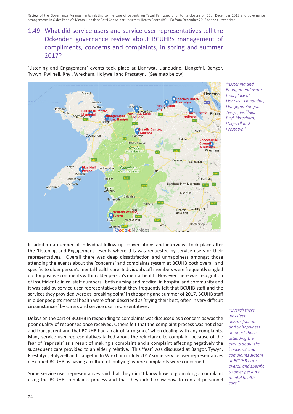## 1.49 What did service users and service user representatives tell the Ockenden governance review about BCUHBs management of compliments, concerns and complaints, in spring and summer 2017?

'Listening and Engagement' events took place at Llanrwst, Llandudno, Llangefni, Bangor, Tywyn, Pwllheli, Rhyl, Wrexham, Holywell and Prestatyn. (See map below)



*"'Listening and Engagement'events took place at Llanrwst, Llandudno, Llangefni, Bangor, Tywyn, Pwllheli, Rhyl, Wrexham, Holywell and Prestatyn."*

In addition a number of individual follow up conversations and interviews took place after the 'Listening and Engagement' events where this was requested by service users or their representatives. Overall there was deep dissatisfaction and unhappiness amongst those attending the events about the 'concerns' and complaints system at BCUHB both overall and specific to older person's mental health care. Individual staff members were frequently singled out for positive comments within older person's mental health. However there was recognition of insufficient clinical staff numbers - both nursing and medical in hospital and community and it was said by service user representatives that they frequently felt that BCUHB staff and the services they provided were at 'breaking point' in the spring and summer of 2017. BCUHB staff in older people's mental health were often described as 'trying their best, often in very difficult circumstances' by carers and service user representatives.

Delays on the part of BCUHB in responding to complaints was discussed as a concern as was the poor quality of responses once received. Others felt that the complaint process was not clear and transparent and that BCUHB had an air of 'arrogance' when dealing with any complaints. Many service user representatives talked about the reluctance to complain, because of the fear of 'reprisals' as a result of making a complaint and a complaint affecting negatively the subsequent care provided to an elderly relative. This 'fear' was discussed at Bangor, Tywyn, Prestatyn, Holywell and Llangefni. In Wrexham in July 2017 some service user representatives described BCUHB as having a culture of 'bullying' where complaints were concerned.

Some service user representatives said that they didn't know how to go making a complaint using the BCUHB complaints process and that they didn't know how to contact personnel

*"Overall there was deep dissatisfaction and unhappiness amongst those attending the events about the 'concerns' and complaints system at BCUHB both overall and specific to older person's mental health care."*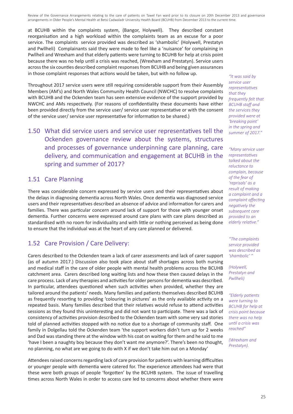at BCUHB within the complaints system, (Bangor, Holywell). They described constant reorganisation and a high workload within the complaints team as an excuse for a poor service. The complaints service provided was described as 'shambolic' (Holywell, Prestatyn and Pwllheli) Complainants said they were made to feel like a 'nuisance' for complaining in Pwllheli and Wrexham and that elderly patients were turning to BCUHB for help at crisis point because there was no help until a crisis was reached, (Wrexham and Prestatyn). Service users across the six counties described complaint responses from BCUHB and being given assurances in those complaint responses that actions would be taken, but with no follow up.

Throughout 2017 service users were still requiring considerable support from their Assembly Members (AM's) and North Wales Community Health Council (NWCHC) to resolve complaints with BCUHB and the Ockenden team has seen extensive evidence of the support provided by NWCHC and AMs respectively. (For reasons of confidentiality these documents have either been provided directly from the service user/ service user representative or with the consent of the service user/ service user representative for information to be shared.)

1.50 What did service users and service user representatives tell the Ockenden governance review about the systems, structures and processes of governance underpinning care planning, care delivery, and communication and engagement at BCUHB in the spring and summer of 2017?

#### 1.51 Care Planning

There was considerable concern expressed by service users and their representatives about the delays in diagnosing dementia across North Wales. Once dementia was diagnosed service users and their representatives described an absence of advice and information for carers and families. There was particular concern around lack of support for those with younger onset dementia. Further concerns were expressed around care plans with care plans described as standardised with no room for individuality and with little or nothing perceived as being done to ensure that the individual was at the heart of any care planned or delivered.

## 1.52 Care Provision / Care Delivery:

Carers described to the Ockenden team a lack of carer assessments and lack of carer support (as of autumn 2017.) Discussion also took place about staff shortages across both nursing and medical staff in the care of older people with mental health problems across the BCUHB catchment area. Carers described long waiting lists and how these then caused delays in the care process. Lack of any therapies and activities for older persons for dementia was described. In particular, attendees questioned when such activities when provided, whether they are tailored around the patients' needs. Many families and patients themselves described BCUHB as frequently resorting to providing 'colouring in pictures' as the only available activity on a repeated basis. Many families described that their relatives would refuse to attend activities sessions as they found this uninteresting and did not want to participate. There was a lack of consistency of activities provision described to the Ockenden team with some very sad stories told of planned activities stopped with no notice due to a shortage of community staff. One family in Dolgellau told the Ockenden team 'the support workers didn't turn up for 2 weeks and Dad was standing there at the window with his coat on waiting for them and he said to me 'have I been a naughty boy because they don't want me anymore?'. There's been no thought, no planning, no what are we going to do with X if we don't take him out on a Monday'

Attendees raised concerns regarding lack of care provision for patients with learning difficulties or younger people with dementia were catered for. The experience attendees had were that these were both groups of people 'forgotten' by the BCUHB system. The issue of travelling times across North Wales in order to access care led to concerns about whether there were

*"It was said by service user representatives that they frequently felt that BCUHB staff and the services they provided were at 'breaking point' in the spring and summer of 2017."*

*"Many service user representatives talked about the reluctance to complain, because of the fear of 'reprisals' as a result of making a complaint and a complaint affecting negatively the subsequent care provided to an elderly relative."*

*"The complaints service provided was described as 'shambolic' "* 

*(Holywell, Prestatyn and Pwllheli)*

*"Elderly patients were turning to BCUHB for help at crisis point because there was no help until a crisis was reached"*

*(Wrexham and Prestatyn).*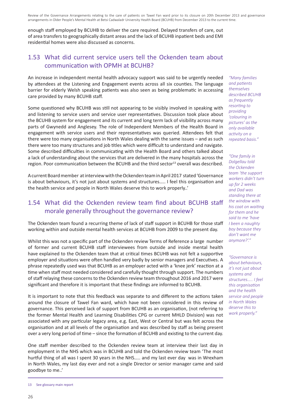enough staff employed by BCUHB to deliver the care required. Delayed transfers of care, out of area transfers to geographically distant areas and the lack of BCUHB inpatient beds and EMI residential homes were also discussed as concerns.

#### 1.53 What did current service users tell the Ockenden team about communication with OPMH at BCUHB?

An increase in independent mental health advocacy support was said to be urgently needed by attendees at the Listening and Engagement events across all six counties. The language barrier for elderly Welsh speaking patients was also seen as being problematic in accessing care provided by many BCUHB staff.

Some questioned why BCUHB was still not appearing to be visibly involved in speaking with and listening to service users and service user representatives. Discussion took place about the BCUHB system for engagement and its current and long term lack of visibility across many parts of Gwynedd and Anglesey. The role of Independent Members of the Health Board in engagement with service users and their representatives was queried. Attendees felt that there were too many organisations in North Wales dealing with the same issues – and as such there were too many structures and job titles which were difficult to understand and navigate. Some described difficulties in communicating with the Health Board and others talked about a lack of understanding about the services that are delivered in the many hospitals across the region. Poor communication between the BCUHB and the third sector<sup>13</sup> overall was described.

A current Board member at interview with the Ockenden team in April 2017 stated 'Governance is about behaviours, it's not just about systems and structures….. I feel this organisation and the health service and people in North Wales deserve this to work properly..'

#### 1.54 What did the Ockenden review team find about BCUHB staff morale generally throughout the governance review?

The Ockenden team found a recurring theme of lack of staff support in BCUHB for those staff working within and outside mental health services at BCUHB from 2009 to the present day.

Whilst this was not a specific part of the Ockenden review Terms of Reference a large number of former and current BCUHB staff interviewees from outside and inside mental health have explained to the Ockenden team that at critical times BCUHB was not felt a supportive employer and situations were often handled very badly by senior managers and Executives. A phrase repeatedly used was that BCUHB as an employer acted with a 'knee jerk' reaction at a time when staff most needed considered and carefully thought through support. The numbers of staff relaying these concerns to the Ockenden review team throughout 2016 and 2017 were significant and therefore it is important that these findings are informed to BCUHB.

It is important to note that this feedback was separate to and different to the actions taken around the closure of Tawel Fan ward, which have not been considered in this review of governance. This perceived lack of support from BCUHB as an organisation, (not referring to the former Mental Health and Learning Disabilities CPG or current MHLD Division) was not associated with any particular legacy area, e.g. East, West or Central but was felt across the organisation and at all levels of the organisation and was described by staff as being present over a very long period of time – since the formation of BCUHB and existing to the current day.

One staff member described to the Ockenden review team at interview their last day in employment in the NHS which was in BCUHB and told the Ockenden review team 'The most hurtful thing of all was I spent 30 years in the NHS….. and my last ever day was in Wrexham in North Wales, my last day ever and not a single Director or senior manager came and said goodbye to me..'

*"Many families and patients themselves described BCUHB as frequently resorting to providing 'colouring in pictures' as the only available activity on a repeated basis."*

*"One family in Dolgellau told the Ockenden team 'the support workers didn't turn up for 2 weeks and Dad was standing there at the window with his coat on waiting for them and he said to me 'have I been a naughty boy because they don't want me anymore?'."*

*"Governance is about behaviours, it's not just about systems and structures….. I feel this organisation and the health service and people in North Wales deserve this to work properly."*

<sup>13</sup> See glossary main report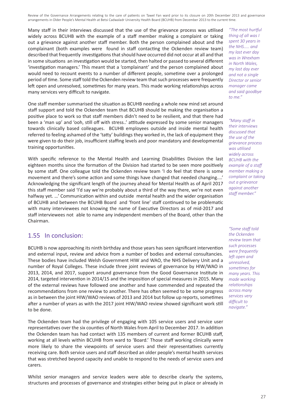Many staff in their interviews discussed that the use of the grievance process was utilised widely across BCUHB with the example of a staff member making a complaint or taking out a grievance against another staff member. Both the person complained about and the complainant (both examples were found in staff contacting the Ockenden review team) described that frequently investigations that should have occurred did not occur at all and that in some situations an investigation would be started, then halted or passed to several different 'investigation managers.' This meant that a 'complainant' and the person complained about would need to recount events to a number of different people, sometime over a prolonged period of time. Some staff told the Ockenden review team that such processes were frequently left open and unresolved, sometimes for many years. This made working relationships across many services very difficult to navigate.

One staff member summarised the situation as BCUHB needing a whole new mind set around staff support and told the Ockenden team that BCUHB should be making the organisation a positive place to work so that staff members didn't need to be resilient, and that there had been a 'man up' and 'ooh, still off with stress..' attitude expressed by some senior managers towards clinically based colleagues. BCUHB employees outside and inside mental health referred to feeling ashamed of the 'tatty' buildings they worked in, the lack of equipment they were given to do their job, insufficient staffing levels and poor mandatory and developmental training opportunities.

With specific reference to the Mental Health and Learning Disabilities Division the last eighteen months since the formation of the Division had started to be seen more positively by some staff. One colleague told the Ockenden review team 'I do feel that there is some movement and there's some action and some things have changed that needed changing....' Acknowledging the significant length of the journey ahead for Mental Health as of April 2017 this staff member said 'I'd say we're probably about a third of the way there, we're not even halfway yet. …' Communication within and outside mental health and the wider organisation of BCUHB and between the BCUHB Board and 'front line' staff continued to be problematic with many interviewees not knowing the name of Executive Directors as of mid-2017 and staff interviewees not able to name any independent members of the Board, other than the Chairman.

#### 1.55 In conclusion:

BCUHB is now approaching its ninth birthday and those years has seen significant intervention and external input, review and advice from a number of bodies and external consultancies. These bodies have included Welsh Government HIW and WAO, the NHS Delivery Unit and a number of Royal Colleges. These include three joint reviews of governance by HIW/WAO in 2013, 2014, and 2017, support around governance from the Good Governance Institute in 2014, targeted intervention in 2014/15 and the imposition of special measures in 2015. Many of the external reviews have followed one another and have commended and repeated the recommendations from one review to another. There has often seemed to be some progress as in between the joint HIW/WAO reviews of 2013 and 2014 but follow up reports, sometimes after a number of years as with the 2017 joint HIW/WAO review showed significant work still to be done.

The Ockenden team had the privilege of engaging with 105 service users and service user representatives over the six counties of North Wales from April to December 2017. In addition the Ockenden team has had contact with 135 members of current and former BCUHB staff, working at all levels within BCUHB from ward to 'Board.' Those staff working clinically were more likely to share the viewpoints of service users and their representatives currently receiving care. Both service users and staff described an older people's mental health services that was stretched beyond capacity and unable to respond to the needs of service users and carers.

Whilst senior managers and service leaders were able to describe clearly the systems, structures and processes of governance and strategies either being put in place or already in

*"The most hurtful thing of all was I spent 30 years in the NHS….. and my last ever day was in Wrexham in North Wales, my last day ever and not a single Director or senior manager came and said goodbye to me."*

*"Many staff in their interviews discussed that the use of the grievance process was utilised widely across BCUHB with the example of a staff member making a complaint or taking out a grievance against another staff member."*

*"Some staff told the Ockenden review team that such processes were frequently left open and unresolved, sometimes for many years. This made working relationships across many services very difficult to navigate."*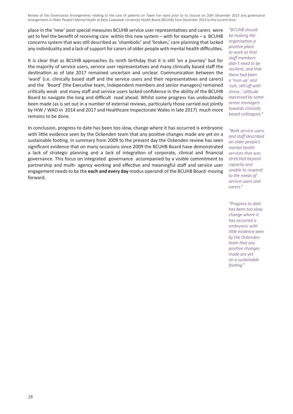place in the 'new' post special measures BCUHB service user representatives and carers were yet to feel the benefit of receiving care within this new system – with for example – a BCUHB concerns system that was still described as 'shambolic' and 'broken,' care planning that lacked any individuality and a lack of support for carers of older people with mental health difficulties.

It is clear that as BCUHB approaches its ninth birthday that it is still 'on a journey' but for the majority of service users, service user representatives and many clinically based staff the destination as of late 2017 remained uncertain and unclear. Communication between the 'ward' (i.e. clinically based staff and the service users and their representatives and carers) and the 'Board' (the Executive team, Independent members and senior managers) remained critically weak and many staff and service users lacked confidence in the ability of the BCUHB Board to navigate the long and difficult road ahead. Whilst some progress has undoubtedly been made (as is set out in a number of external reviews, particularly those carried out jointly by HIW / WAO in 2014 and 2017 and Healthcare Inspectorate Wales in late 2017) much more remains to be done.

In conclusion, progress to date has been too slow, change where it has occurred is embryonic with little evidence seen by the Ockenden team that any positive changes made are yet on a sustainable footing. In summary from 2009 to the present day the Ockenden review has seen significant evidence that on many occasions since 2009 the BCUHB Board have demonstrated a lack of strategic planning and a lack of integration of corporate, clinical and financial governance. This focus on integrated governance accompanied by a visible commitment to partnership and multi- agency working and effective and meaningful staff and service user engagement needs to be the **each and every day** modus operandi of the BCUHB Board moving forward.

*"BCUHB should be making the organisation a positive place to work so that staff members didn't need to be resilient, and that there had been a 'man up' and 'ooh, still off with stress..' attitude expressed by some senior managers towards clinically based colleagues."*

*"Both service users and staff described an older people's mental health services that was stretched beyond capacity and unable to respond to the needs of service users and carers."*

*"Progress to date has been too slow, change where it has occurred is embryonic with little evidence seen by the Ockenden team that any positive changes made are yet on a sustainable footing."*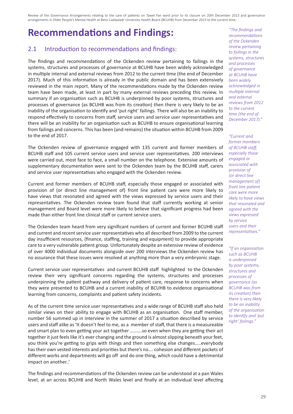## **Recommendations and Findings:**

#### 2.1 Introduction to recommendations and findings:

The findings and recommendations of the Ockenden review pertaining to failings in the systems, structures and processes of governance at BCUHB have been widely acknowledged in multiple internal and external reviews from 2012 to the current time (the end of December 2017). Much of this information is already in the public domain and has been extensively reviewed in the main report. Many of the recommendations made by the Ockenden review team have been made, at least in part by many external reviews preceding this review. In summary if an organisation such as BCUHB is underpinned by poor systems, structures and processes of governance (as BCUHB was from its creation) then there is very likely to be an inability of the organisation to identify and 'put right' failings. There will also be an inability to respond effectively to concerns from staff, service users and service user representatives and there will be an inability for an organisation such as BCUHB to ensure organisational learning from failings and concerns. This has been (and remains) the situation within BCUHB from 2009 to the end of 2017.

The Ockenden review of governance engaged with 135 current and former members of BCUHB staff and 105 current service users and service user representatives. 200 interviews were carried out, most face to face, a small number on the telephone. Extensive amounts of supplementary documentation were sent to the Ockenden team by the BCUHB staff, carers and service user representatives who engaged with the Ockenden review.

Current and former members of BCUHB staff, especially those engaged or associated with provision of (or direct line management of) front line patient care were more likely to have views that resonated and agreed with the views expressed by service users and their representatives. The Ockenden review team found that staff currently working at senior management and Board level were more likely to believe that significant progress had been made than either front line clinical staff or current service users.

The Ockenden team heard from very significant numbers of current and former BCUHB staff and current and recent service user representatives who all described from 2009 to the current day insufficient resources, (finance, staffing, training and equipment) to provide appropriate care to a very vulnerable patient group. Unfortunately despite an extensive review of evidence of over 4000 individual documents alongside over 200 interviews the Ockenden review has no assurance that these issues were resolved at anything more than a very embryonic stage.

Current service user representatives and current BCUHB staff highlighted to the Ockenden review their very significant concerns regarding the systems, structures and processes underpinning the patient pathway and delivery of patient care, response to concerns when they were presented to BCUHB and a current inability of BCUHB to evidence organisational learning from concerns, complaints and patient safety incidents.

As of the current time service user representatives and a wide range of BCUHB staff also held similar views on their ability to engage with BCUHB as an organisation. One staff member, number 56 summed up in interview in the summer of 2017 a situation described by service users and staff alike as 'It doesn't feel to me, as a member of staff, that there is a measureable and smart plan to even getting your act together ……….so even when they are getting their act together it just feels like it's ever changing and the ground is almost slipping beneath your feet, you think you're getting to grips with things and then something else changes…..everybody has their own vested interests and priorities but there's no…. cohesion and different pockets of different works and departments will go off and do one thing, which could have a detrimental impact on another..'

The findings and recommendations of the Ockenden review can be understood at a pan Wales level, at an across BCUHB and North Wales level and finally at an individual level affecting

*"The findings and recommendations of the Ockenden review pertaining to failings in the systems, structures and processes of governance at BCUHB have been widely acknowledged in multiple internal and external reviews from 2012 to the current time (the end of December 2017)."*

*"Current and former members of BCUHB staff, especially those engaged or associated with provision of (or direct line management of) front line patient care were more likely to have views that resonated and agreed with the views expressed by service users and their representatives."*

*"If an organisation such as BCUHB is underpinned by poor systems, structures and processes of governance (as BCUHB was from its creation) then there is very likely to be an inability of the organisation to identify and 'put right' failings."*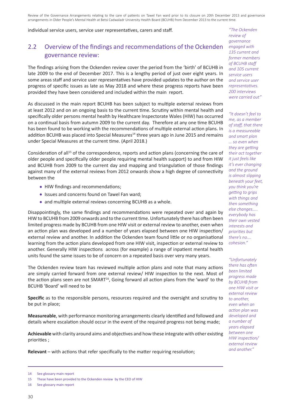individual service users, service user representatives, carers and staff.

## 2.2 Overview of the findings and recommendations of the Ockenden governance review:

The findings arising from the Ockenden review cover the period from the 'birth' of BCUHB in late 2009 to the end of December 2017. This is a lengthy period of just over eight years. In some areas staff and service user representatives have provided updates to the author on the progress of specific issues as late as May 2018 and where these progress reports have been provided they have been considered and included within the main report.

As discussed in the main report BCUHB has been subject to multiple external reviews from at least 2012 and on an ongoing basis to the current time. Scrutiny within mental health and specifically older persons mental health by Healthcare Inspectorate Wales (HIW) has occurred on a continual basis from autumn 2009 to the current day. Therefore at any one time BCUHB has been found to be working with the recommendations of multiple external action plans. In addition BCUHB was placed into Special Measures<sup>14</sup> three years ago in June 2015 and remains under Special Measures at the current time. (April 2018.)

Consideration of all<sup>15</sup> of the correspondence, reports and action plans (concerning the care of older people and specifically older people requiring mental health support) to and from HIW and BCUHB from 2009 to the current day and mapping and triangulation of those findings against many of the external reviews from 2012 onwards show a high degree of connectivity between the

- HIW findings and recommendations;
- Issues and concerns found on Tawel Fan ward;
- and multiple external reviews concerning BCUHB as a whole.

Disappointingly, the same findings and recommendations were repeated over and again by HIW to BCUHB from 2009 onwards and to the current time. Unfortunately there has often been limited progress made by BCUHB from one HIW visit or external review to another, even when an action plan was developed and a number of years elapsed between one HIW inspection/ external review and another. In addition the Ockenden team found little or no organisational learning from the action plans developed from one HIW visit, inspection or external review to another. Generally HIW inspections across (for example) a range of inpatient mental health units found the same issues to be of concern on a repeated basis over very many years.

The Ockenden review team has reviewed multiple action plans and note that many actions are simply carried forward from one external review/ HIW inspection to the next. Most of the action plans seen are not SMART<sup>16</sup>, Going forward all action plans from the 'ward' to the BCUHB 'Board' will need to be

**Specific** as to the responsible persons, resources required and the oversight and scrutiny to be put in place;

**Measureable**, with performance monitoring arrangements clearly identified and followed and details where escalation should occur in the event of the required progress not being made;

**Achievable** with clarity around aims and objectives and how these integrate with other existing priorities ;

**Relevant** – with actions that refer specifically to the matter requiring resolution;

*"The Ockenden review of governance engaged with 135 current and former members of BCUHB staff and 105 current service users and service user representatives. 200 interviews were carried out"*

*"It doesn't feel to me, as a member of staff, that there is a measureable and smart plan … so even when they are getting their act together it just feels like it's ever changing and the ground is almost slipping beneath your feet, you think you're getting to grips with things and then something else changes….. everybody has their own vested interests and priorities but there's no…. cohesion."*

*"Unfortunately there has often been limited progress made by BCUHB from one HIW visit or external review to another, even when an action plan was developed and a number of years elapsed between one HIW inspection/ external review and another."*

<sup>14</sup> See glossary main report

<sup>15</sup> These have been provided to the Ockenden review by the CEO of HIW

<sup>16</sup> See glossary main report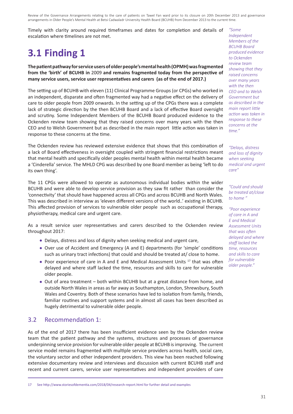Timely with clarity around required timeframes and dates for completion and details of escalation where timelines are not met.

# **3.1 Finding 1**

**The patient pathway for service users of older people's mental health (OPMH) was fragmented from the 'birth' of BCUHB in** 2009 **and remains fragmented today from the perspective of many service users, service user representatives and carers (as of the end of 2017.)**

The setting up of BCUHB with eleven (11) Clinical Programme Groups (or CPGs) who worked in an independent, disparate and often fragmented way had a negative effect on the delivery of care to older people from 2009 onwards. In the setting up of the CPGs there was a complete lack of strategic direction by the then BCUHB Board and a lack of effective Board oversight and scrutiny. Some Independent Members of the BCUHB Board produced evidence to the Ockenden review team showing that they raised concerns over many years with the then CEO and to Welsh Government but as described in the main report little action was taken in response to these concerns at the time.

The Ockenden review has reviewed extensive evidence that shows that this combination of a lack of Board effectiveness in oversight coupled with stringent financial restrictions meant that mental health and specifically older peoples mental health within mental health became a 'Cinderella' service. The MHLD CPG was described by one Board member as being 'left to do its own thing'.

The 11 CPGs were allowed to operate as autonomous individual bodies within the wider BCUHB and were able to develop service provision as they saw fit rather than consider the 'connectivity' that should have happened across all CPGs and across BCUHB and North Wales. This was described in interview as 'eleven different versions of the world..' existing in BCUHB. This affected provision of services to vulnerable older people such as occupational therapy, physiotherapy, medical care and urgent care.

As a result service user representatives and carers described to the Ockenden review throughout 2017:

- Delays, distress and loss of dignity when seeking medical and urgent care,
- Over use of Accident and Emergency (A and E) departments (for 'simple' conditions such as urinary tract infections) that could and should be treated at/ close to home.
- Poor experience of care in A and E and Medical Assessment Units  $17$  that was often delayed and where staff lacked the time, resources and skills to care for vulnerable older people.
- Out of area treatment both within BCUHB but at a great distance from home, and outside North Wales in areas as far away as Southampton, London, Shrewsbury, South Wales and Coventry. Both of these scenarios have led to isolation from family, friends, familiar routines and support systems and in almost all cases has been described as hugely detrimental to vulnerable older people.

#### 3.2 Recommendation 1:

As of the end of 2017 there has been insufficient evidence seen by the Ockenden review team that the patient pathway and the systems, structures and processes of governance underpinning service provision for vulnerable older people at BCUHB is improving. The current service model remains fragmented with multiple service providers across health, social care, the voluntary sector and other independent providers. This view has been reached following extensive documentary review and interviews and discussion with current BCUHB staff and recent and current carers, service user representatives and independent providers of care

*"Some Independent Members of the BCUHB Board produced evidence to Ockenden review team showing that they raised concerns over many years with the then CEO and to Welsh Government but as described in the main report little action was taken in response to these concerns at the time."*

*"Delays, distress and loss of dignity when seeking medical and urgent care"*

*"Could and should be treated at/close to home "*

*"Poor experience of care in A and E and Medical Assessment Units that was often delayed and where staff lacked the time, resources and skills to care for vulnerable older people."*

<sup>17</sup> See http://www.storiesofdementia.com/2018/04/research-report.html for further detail and examples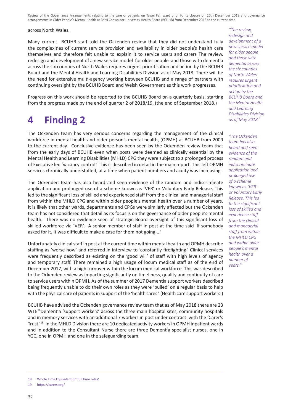#### across North Wales.

Many current BCUHB staff told the Ockenden review that they did not understand fully the complexities of current service provision and availability in older people's health care themselves and therefore felt unable to explain it to service users and carers The review, redesign and development of a new service model for older people and those with dementia across the six counties of North Wales requires urgent prioritisation and action by the BCUHB Board and the Mental Health and Learning Disabilities Division as of May 2018. There will be the need for extensive multi-agency working between BCUHB and a range of partners with continuing oversight by the BCUHB Board and Welsh Government as this work progresses.

Progress on this work should be reported to the BCUHB Board on a quarterly basis, starting from the progress made by the end of quarter 2 of 2018/19, (the end of September 2018.)

## **4 Finding 2**

The Ockenden team has very serious concerns regarding the management of the clinical workforce in mental health and older person's mental health, (OPMH) at BCUHB from 2009 to the current day. Conclusive evidence has been seen by the Ockenden review team that from the early days of BCUHB even when posts were deemed as clinically essential by the Mental Health and Learning Disabilities (MHLD) CPG they were subject to a prolonged process of Executive led 'vacancy control.' This is described in detail in the main report. This left OPMH services chronically understaffed, at a time when patient numbers and acuity was increasing.

The Ockenden team has also heard and seen evidence of the random and indiscriminate application and prolonged use of a scheme known as 'VER' or Voluntary Early Release. This led to the significant loss of skilled and experienced staff from the clinical and managerial staff from within the MHLD CPG and within older people's mental health over a number of years. It is likely that other wards, departments and CPGs were similarly affected but the Ockenden team has not considered that detail as its focus is on the governance of older people's mental health. There was no evidence seen of strategic Board oversight of this significant loss of skilled workforce via 'VER'. A senior member of staff in post at the time said 'If somebody asked for it, it was difficult to make a case for them not going....'

Unfortunately clinical staff in post at the current time within mental health and OPMH describe staffing as 'worse now' and referred in interview to 'constantly firefighting.' Clinical services were frequently described as existing on the 'good will' of staff with high levels of agency and temporary staff. There remained a high usage of locum medical staff as of the end of December 2017, with a high turnover within the locum medical workforce. This was described to the Ockenden review as impacting significantly on timeliness, quality and continuity of care to service users within OPMH. As of the summer of 2017 Dementia support workers described being frequently unable to do their own roles as they were 'pulled' on a regular basis to help with the physical care of patients in support of the 'health cares.' (Health care support workers.)

BCUHB have advised the Ockenden governance review team that as of May 2018 there are 23 WTE18Dementia 'support workers' across the three main hospital sites, community hospitals and in memory services with an additional 7 workers in post under contract with the 'Carer's Trust.'19 In the MHLD Division there are 10 dedicated activity workers in OPMH inpatient wards and in addition to the Consultant Nurse there are three Dementia specialist nurses, one in YGC, one in OPMH and one in the safeguarding team.

*"The review, redesign and development of a new service model for older people and those with dementia across the six counties of North Wales requires urgent prioritisation and action by the BCUHB Board and the Mental Health and Learning Disabilities Division as of May 2018."*

*"The Ockenden team has also heard and seen evidence of the random and indiscriminate application and prolonged use of a scheme known as 'VER' or Voluntary Early Release. This led to the significant loss of skilled and experience staff from the clinical and managerial staff from within the MHLD CPG and within older people's mental health over a number of years."*

<sup>18</sup> Whole Time Equivalent or 'full time roles'

<sup>19</sup> https://carers.org/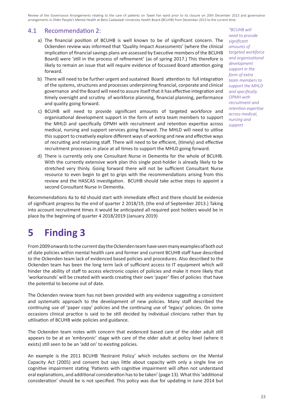#### 4.1 Recommendation 2:

- a) The financial position of BCUHB is well known to be of significant concern. The Ockenden review was informed that 'Quality Impact Assessments' (where the clinical implication of financial savings plans are assessed by Executive members of the BCUHB Board) were 'still in the process of refinement' (as of spring 2017.) This therefore is likely to remain an issue that will require evidence of focussed Board attention going forward.
- b) There will need to be further urgent and sustained Board attention to full integration of the systems, structures and processes underpinning financial, corporate and clinical governance and the Board will need to assure itself that it has effective integration and timely oversight and scrutiny of workforce planning, financial planning, performance and quality going forward.
- c) BCUHB will need to provide significant amounts of targeted workforce and organisational development support in the form of extra team members to support the MHLD and specifically OPMH with recruitment and retention expertise across medical, nursing and support services going forward. The MHLD will need to utilise this support to creatively explore different ways of working and new and effective ways of recruiting and retaining staff. There will need to be efficient, (timely) and effective recruitment processes in place at all times to support the MHLD going forward.
- d) There is currently only one Consultant Nurse in Dementia for the whole of BCUHB. With the currently extensive work plan this single post-holder is already likely to be stretched very thinly. Going forward there will not be sufficient Consultant Nurse resource to even begin to get to grips with the recommendations arising from this review and the HASCAS investigation. BCUHB should take active steps to appoint a second Consultant Nurse in Dementia.

Recommendations 4a to 4d should start with immediate effect and there should be evidence of significant progress by the end of quarter 2 2018/19, (the end of September 2013.) Taking into account recruitment times it would be anticipated all required post holders would be in place by the beginning of quarter 4 2018/2019 (January 2019)

# **5 Finding 3**

From 2009 onwards to the current day the Ockenden team have seen many examples of both out of date policies within mental health care and former and current BCUHB staff have described to the Ockenden team lack of evidenced based policies and procedures. Also described to the Ockenden team has been the long term lack of sufficient access to IT equipment which will hinder the ability of staff to access electronic copies of policies and make it more likely that 'workarounds' will be created with wards creating their own 'paper' files of policies that have the potential to become out of date.

The Ockenden review team has not been provided with any evidence suggesting a consistent and systematic approach to the development of new policies. Many staff described the continuing use of 'paper copy' policies and the continuing use of 'legacy' policies. On some occasions clinical practice is said to be still decided by individual clinicians rather than by utilisation of BCUHB wide policies and guidance.

The Ockenden team notes with concern that evidenced based care of the older adult still appears to be at an 'embryonic' stage with care of the older adult at policy level (where it exists) still seen to be an 'add on' to existing policies.

An example is the 2011 BCUHB 'Restraint Policy' which includes sections on the Mental Capacity Act (2005) and consent but says little about capacity with only a single line on cognitive impairment stating 'Patients with cognitive impairment will often not understand oral explanations, and additional consideration has to be taken' (page 13). What this 'additional consideration' should be is not specified. This policy was due for updating in June 2014 but

*"BCUHB will need to provide significant amounts of targeted workforce and organisational development support in the form of extra team members to support the MHLD and specifically OPMH with recruitment and retention expertise across medical, nursing and support*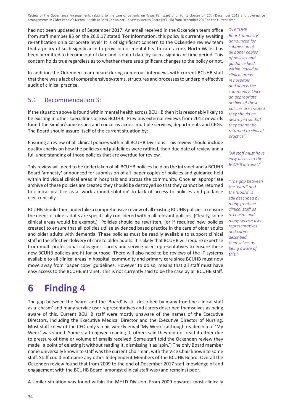had not been updated as of September 2017. An email received in the Ockenden team office from staff member 85 on the 26.9.17 stated 'For information, this policy is currently awaiting re-ratification on a corporate level.' It is of significant concern to the Ockenden review team that a policy of such significance to provision of mental health care across North Wales has been permitted to become out of date and is out of date by such a significant time period. This concern holds true regardless as to whether there are significant changes to the policy or not.

In addition the Ockenden team heard during numerous interviews with current BCUHB staff that there was a lack of comprehensive systems, structures and processes to underpin effective audit of clinical practice.

#### 5.1 Recommendation 3:

If the situation above is found within mental health across BCUHB then it is reasonably likely to be existing in other specialities across BCUHB. Previous external reviews from 2012 onwards found the similar/same issues and concerns across multiple services, departments and CPGs. The Board should assure itself of the current situation by:

Ensuring a review of all clinical policies within all BCUHB Divisions. This review should include quality checks on how the policies and guidelines were ratified, their due date of review and a full understanding of those policies that are overdue for review.

This review will need to be undertaken of all BCUHB policies held on the intranet and a BCUHB Board 'amnesty' announced for submission of all paper copies of policies and guidance held within individual clinical areas in hospitals and across the community. Once an appropriate archive of these policies are created they should be destroyed so that they cannot be returned to clinical practice as a 'work around solution' to lack of access to policies and guidance electronically.

BCUHB should then undertake a comprehensive review of all existing BCUHB policies to ensure the needs of older adults are specifically considered within all relevant policies. (Clearly, some clinical areas would be exempt.) Policies should be rewritten, (or if required new policies created) to ensure that all policies utilise evidenced based practice in the care of older adults and older adults with dementia. These policies must be readily available to support clinical staff in the effective delivery of care to older adults. It is likely that BCUHB will require expertise from multi professional colleagues, carers and service user representatives to ensure these new BCUHB policies are fit for purpose. There will also need to be reviews of the IT systems available to all clinical areas in hospital, community and primary care since BCUHB must now move away from 'paper copy' guidelines. However to do so, means that all staff must have easy access to the BCUHB intranet. This is not currently said to be the case by all BCUHB staff.

## **6 Finding 4**

The gap between the 'ward' and the 'Board' is still described by many frontline clinical staff as a 'chasm' and many service user representatives and carers described themselves as being aware of this. Current BCUHB staff were mostly unaware of the names of the Executive Directors, including the Executive Medical Director and the Executive Director of Nursing. Most staff knew of the CEO only via his weekly email 'My Week' (although readership of 'My Week' was varied. Some staff enjoyed reading it, others said they did not read it either due to pressure of time or volume of emails received. Some staff told the Ockenden review they made a point of deleting it without reading it, dismissing it as 'spin.') The only Board member name universally known to staff was the current Chairman, with the Vice Chair known to some staff. Staff could not name any other Independent Members of the BCUHB Board. Overall the Ockenden review found that from 2009 to the end of December 2017 staff knowledge of and engagement with the BCUHB Board amongst clinical staff was (and remains) poor.

A similar situation was found within the MHLD Division. From 2009 onwards most clinically

*"A BCUHB Board 'amnesty' announced for submission of all paper copies of policies and guidance held within individual clinical areas in hospitals and across the community. Once an appropriate archive of these policies are created they should be destroyed so that they cannot be returned to clinical practice"*

*"All staff must have easy access to the BCUHB intranet."*

*"The gap between the 'ward' and the 'Board' is still described by many frontline clinical staff as a 'chasm' and many service user representatives and carers described themselves as being aware of this."*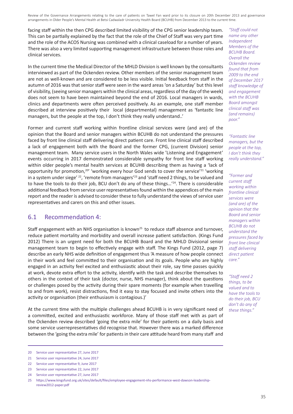facing staff within the then CPG described limited visibility of the CPG senior leadership team. This can be partially explained by the fact that the role of the Chief of Staff was very part time and the role of the ACOS Nursing was combined with a clinical caseload for a number of years. There was also a very limited supporting management infrastructure between those roles and clinical services.

In the current time the Medical Director of the MHLD Division is well known by the consultants interviewed as part of the Ockenden review. Other members of the senior management team are not as well-known and are considered to be less visible. Initial feedback from staff in the autumn of 2016 was that senior staff were seen in the ward areas 'on a Saturday' but this level of visibility, (seeing senior managers within the clinical areas, regardless of the day of the week) does not seem to have been maintained beyond the end of 2016. Local managers in wards, clinics and departments were often perceived positively. As an example, one staff member described at interview positively their local (departmental) management as 'fantastic line managers, but the people at the top, I don't think they really understand..'

Former and current staff working within frontline clinical services were (and are) of the opinion that the Board and senior managers within BCUHB do not understand the pressures faced by front line clinical staff delivering direct patient care. Front line clinical staff described a lack of engagement both with the Board and the former CPG, (current Division) senior management team. Many service users in the North Wales wide 'Listening and Engagement' events occurring in 2017 demonstrated considerable sympathy for front line staff working within older people's mental health services at BCUHB describing them as having a 'lack of opportunity for promotion,<sup>20</sup>' 'working every hour God sends to cover the service<sup> $21$ </sup> 'working in a system under siege' <sup>22</sup>, 'remote from managers'<sup>23</sup> and 'staff need 2 things, to be valued and to have the tools to do their job, BCU don't do any of these things...' $^{24}$ . There is considerable additional feedback from service user representatives found within the appendices of the main report and the reader is advised to consider these to fully understand the views of service user representatives and carers on this and other issues.

#### 6.1 Recommendation 4:

Staff engagement with an NHS organisation is known<sup>25</sup> to reduce staff absence and turnover, reduce patient mortality and morbidity and overall increase patient satisfaction. (Kings Fund 2012) There is an urgent need for both the BCUHB Board and the MHLD Divisional senior management team to begin to effectively engage with staff. The Kings Fund (2012, page 7) describe an early NHS wide definition of engagement thus 'A measure of how people connect in their work and feel committed to their organisation and its goals. People who are highly engaged in an activity feel excited and enthusiastic about their role, say time passes quickly at work, devote extra effort to the activity, identify with the task and describe themselves to others in the context of their task (doctor, nurse, NHS manager), think about the questions or challenges posed by the activity during their spare moments (for example when travelling to and from work), resist distractions, find it easy to stay focused and invite others into the activity or organisation (their enthusiasm is contagious.)'

At the current time with the multiple challenges ahead BCUHB is in very significant need of a committed, excited and enthusiastic workforce. Many of those staff met with as part of the Ockenden review described 'going the extra mile' for their patients on a daily basis and some service userrepresentatives did recognise that. However there was a marked difference between the 'going the extra mile' for patients in their care attitude heard from many staff and

*"Staff could not name any other Independent Members of the BCUHB Board. Overall the Ockenden review found that from 2009 to the end of December 2017 staff knowledge of and engagement with the BCUHB Board amongst clinical staff was (and remains) poor."*

*"Fantastic line managers, but the people at the top, I don't think they really understand."*

*"Former and current staff working within frontline clinical services were (and are) of the opinion that the Board and senior managers within BCUHB do not understand the pressures faced by front line clinical staff delivering direct patient care."*

*"Staff need 2 things, to be valued and to have the tools to do their job, BCU don't do any of these things."*

<sup>20</sup> Service user representative 27, June 2017

<sup>21</sup> Service user representative 24, June 2017

<sup>22</sup> Service user representative 9, June 2017

<sup>23</sup> Service user representative 22, June 2017

<sup>24</sup> Service user representative 27, June 2017

<sup>25</sup> https://www.kingsfund.org.uk/sites/default/files/employee-engagement-nhs-performance-west-dawson-leadershipreview2012-paper.pdf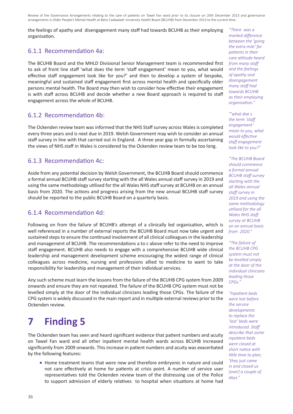the feelings of apathy and disengagement many staff had towards BCUHB as their employing organisation.

#### 6.1.1 Recommendation 4a:

The BCUHB Board and the MHLD Divisional Senior Management team is recommended first to ask of front line staff 'what does the term 'staff engagement' mean to you, what would effective staff engagement look like for you?' and then to develop a system of bespoke, meaningful and sustained staff engagement first across mental health and specifically older persons mental health. The Board may then wish to consider how effective their engagement is with staff across BCUHB and decide whether a new Board approach is required to staff engagement across the whole of BCUHB.

#### 6.1.2 Recommendation 4b:

The Ockenden review team was informed that the NHS Staff survey across Wales is completed every three years and is next due in 2019. Welsh Government may wish to consider an annual staff survey in line with that carried out in England. A three year gap in formally ascertaining the views of NHS staff in Wales is considered by the Ockenden review team to be too long.

#### 6.1.3 Recommendation 4c:

Aside from any potential decision by Welsh Government, the BCUHB Board should commence a formal annual BCUHB staff survey starting with the all Wales annual staff survey in 2019 and using the same methodology utilised for the all Wales NHS staff survey at BCUHB on an annual basis from 2020. The actions and progress arising from the new annual BCUHB staff survey should be reported to the public BCUHB Board on a quarterly basis.

#### 6.1.4 Recommendation 4d:

Following on from the failure of BCUHB's attempt of a clinically led organisation, which is well referenced in a number of external reports the BCUHB Board must now take urgent and sustained steps to ensure the continued involvement of all clinical colleagues in the leadership and management of BCUHB. The recommendations a to c above refer to the need to improve staff engagement. BCUHB also needs to engage with a comprehensive BCUHB wide clinical leadership and management development scheme encouraging the widest range of clinical colleagues across medicine, nursing and professions allied to medicine to want to take responsibility for leadership and management of their individual services.

Any such scheme must learn the lessons from the failure of the BCUHB CPG system from 2009 onwards and ensure they are not repeated. The failure of the BCUHB CPG system must not be levelled simply at the door of the individual clinicians leading those CPGs. The failure of the CPG system is widely discussed in the main report and in multiple external reviews prior to the Ockenden review.

# **7 Finding 5**

The Ockenden team has seen and heard significant evidence that patient numbers and acuity on Tawel Fan ward and all other inpatient mental health wards across BCUHB increased significantly from 2009 onwards. This increase in patient numbers and acuity was exacerbated by the following features:

Home treatment teams that were new and therefore embryonic in nature and could not care effectively at home for patients at crisis point. A number of service user representatives told the Ockenden review team of the distressing use of the Police to support admission of elderly relatives to hospital when situations at home had

*"There was a marked difference between the 'going the extra mile' for patients in their care attitude heard from many staff and the feelings of apathy and disengagement many staff had towards BCUHB as their employing organisation."*

*"'what doe s the term 'staff engagement' mean to you, what would effective staff engagement look like to you?"*

*"The BCUHB Board should commence a formal annual BCUHB staff survey starting with the all Wales annual staff survey in 2019 and using the same methodology utilised for the all Wales NHS staff survey at BCUHB on an annual basis from 2020."*

*"The failure of the BCUHB CPG system must not be levelled simply at the door of the individual clinicians leading those CPGs."*

*"Inpatient beds were lost before the service developments to replace the 'lost' beds were introduced. Staff describe that some inpatient beds were closed at short notice with little time to plan; 'they just came in and closed us [over] a couple of days."*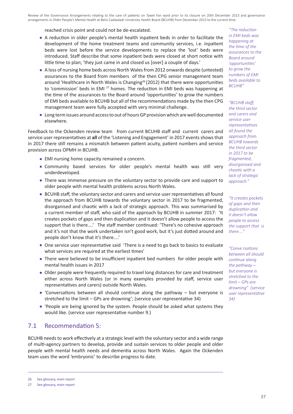reached crisis point and could not be de-escalated.

- A reduction in older people's mental health inpatient beds in order to facilitate the development of the home treatment teams and community services, i.e. inpatient beds were lost before the service developments to replace the 'lost' beds were introduced. Staff describe that some inpatient beds were closed at short notice with little time to plan; 'they just came in and closed us [over] a couple of days.'
- A loss of nursing home beds across North Wales from 2012 onwards despite (untested) assurances to the Board from members of the then CPG senior management team around 'Healthcare in North Wales is Changing<sup>26</sup> (2012) that there were opportunities to 'commission' beds in EMI<sup>27</sup> homes. The reduction in EMI beds was happening at the time of the assurances to the Board around 'opportunities' to grow the numbers of EMI beds available to BCUHB but all of the recommendations made by the then CPG management team were fully accepted with very minimal challenge.
- Long term issues around access to out of hours GP provision which are well documented elsewhere.

Feedback to the Ockenden review team from current BCUHB staff and current carers and service user representatives at **all** of the 'Listening and Engagement' in 2017 events shows that in 2017 there still remains a mismatch between patient acuity, patient numbers and service provision across OPMH in BCUHB.

- EMI nursing home capacity remained a concern.
- Community based services for older people's mental health was still very underdeveloped.
- There was immense pressure on the voluntary sector to provide care and support to older people with mental health problems across North Wales.
- BCUHB staff, the voluntary sector and carers and service user representatives all found the approach from BCUHB towards the voluntary sector in 2017 to be fragmented, disorganised and chaotic with a lack of strategic approach. This was summarised by a current member of staff, who said of the approach by BCUHB in summer 2017: 'It creates pockets of gaps and then duplication and it doesn't allow people to access the support that is there....' The staff member continued: 'There's no cohesive approach and it's not that the work undertaken isn't good work, but it's just dotted around and people don't know that it's there....'
- One service user representative said 'There is a need to go back to basics to evaluate what services are required at the earliest times'
- There were believed to be insufficient inpatient bed numbers for older people with mental health issues in 2017
- Older people were frequently required to travel long distances for care and treatment either across North Wales (or in many examples provided by staff, service user representatives and carers) outside North Wales.
- 'Conversations between all should continue along the pathway but everyone is stretched to the limit – GPs are drowning'; (service user representative 34)
- 'People are being ignored by the system. People should be asked what systems they would like. (service user representative number 9.)

#### 7.1 Recommendation 5:

BCUHB needs to work effectively at a strategic level with the voluntary sector and a wide range of multi-agency partners to develop, provide and sustain services to older people and older people with mental health needs and dementia across North Wales. Again the Ockenden team uses the word 'embryonic' to describe progress to date.

*"The reduction in EMI beds was happening at the time of the assurances to the Board around 'opportunities' to grow the numbers of EMI beds available to BCUHB"*

*"BCUHB staff, the third sector and carers and service user representatives all found the approach from BCUHB towards the third sector in 2017 to be fragmented, disorganised and chaotic with a lack of strategic approach."*

*"It creates pockets of gaps and then duplication and it doesn't allow people to access the support that is there...."*

*"Conve rsations between all should continue along the pathway – but everyone is stretched to the limit – GPs are drowning" (service user representative 34)*

<sup>26</sup> See glossary, main report

<sup>27</sup> See glossary, main report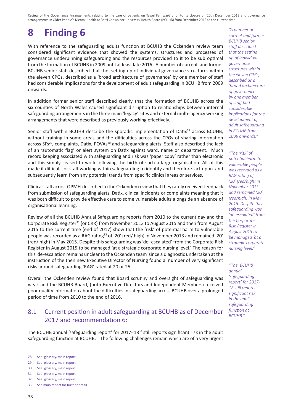# **8 Finding 6**

With reference to the safeguarding adults function at BCUHB the Ockenden review team considered significant evidence that showed the systems, structures and processes of governance underpinning safeguarding and the resources provided to it to be sub optimal from the formation of BCUHB in 2009 until at least late 2016. A number of current and former BCUHB senior staff described that the setting up of individual governance structures within the eleven CPGs, described as a 'broad architecture of governance' by one member of staff had considerable implications for the development of adult safeguarding in BCUHB from 2009 onwards.

In addition former senior staff described clearly that the formation of BCUHB across the six counties of North Wales caused significant disruption to relationships between internal safeguarding arrangements in the three main 'legacy' sites and external multi- agency working arrangements that were described as previously working effectively.

Senior staff within BCUHB describe the sporadic implementation of Datix<sup>28</sup> across BCUHB, without training in some areas and the difficulties across the CPGs of sharing information across SI's<sup>29</sup>, complaints, Datix, POVAs<sup>30</sup> and safeguarding alerts. Staff also described the lack of an 'automatic flag' or alert system on Datix against ward, name or department. Much record keeping associated with safeguarding and risk was 'paper copy' rather than electronic and this simply ceased to work following the birth of such a large organisation. All of this made it difficult for staff working within safeguarding to identify and therefore act upon and subsequently learn from any potential trends from specific clinical areas or services.

Clinical staff across OPMH described to the Ockenden review that they rarely received feedback from submission of safeguarding alerts, Datix, clinical incidents or complaints meaning that it was both difficult to provide effective care to some vulnerable adults alongside an absence of organisational learning.

Review of all the BCUHB Annual Safeguarding reports from 2010 to the current day and the Corporate Risk Register<sup>31</sup> (or CRR) from November 2013 to August 2015 and then from August 2015 to the current time (end of 2017) show that the 'risk' of potential harm to vulnerable people was recorded as a RAG rating32 of '20' (red/ high) in November 2013 and remained '20' (red/ high) in May 2015. Despite this safeguarding was 'de- escalated' from the Corporate Risk Register in August 2015 to be managed 'at a strategic corporate nursing level.' The reason for this de-escalation remains unclear to the Ockenden team since a diagnostic undertaken at the instruction of the then new Executive Director of Nursing found a number of very significant risks around safeguarding 'RAG' rated at 20 or 25.

Overall the Ockenden review found that Board scrutiny and oversight of safeguarding was weak and the BCUHB Board, (both Executive Directors and Independent Members) received poor quality information about the difficulties in safeguarding across BCUHB over a prolonged period of time from 2010 to the end of 2016.

#### 8.1 Current position in adult safeguarding at BCUHB as of December 2017 and recommendation 6:

The BCUHB annual 'safeguarding report' for 2017-18<sup>33</sup> still reports significant risk in the adult safeguarding function at BCUHB. The following challenges remain which are of a very urgent

*"A number of current and former BCUHB senior staff described that the setting up of individual governance structures within the eleven CPGs, described as a 'broad architecture of governance' by one member of staff had considerable implications for the development of adult safeguarding in BCUHB from 2009 onwards."*

*"The 'risk' of potential harm to vulnerable people was recorded as a RAG rating of '20' (red/high) in November 2013 and remained '20' (red/high) in May 2015. Despite this safeguarding was 'de-escalated' from the Corporate Risk Register in August 2015 to be managed 'at a strategic corporate nursing level."*

*"The BCUHB annual 'safeguarding report' for 2017- 18 still reports significant risk in the adult safeguarding function at BCUHB."*

<sup>28</sup> See glossary, main report

<sup>29</sup> See glossary, main report

<sup>30</sup> See glossary, main report

<sup>31</sup> See glossary, main report

<sup>32</sup> See glossary, main report

<sup>33</sup> See main report for further detail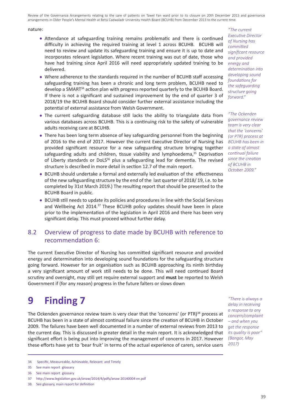#### nature:

- Attendance at safeguarding training remains problematic and there is continued difficulty in achieving the required training at level 1 across BCUHB. BCUHB will need to review and update its safeguarding training and ensure it is up to date and incorporates relevant legislation. Where recent training was out of date, those who have had training since April 2016 will need appropriately updated training to be delivered.
- Where adherence to the standards required in the number of BCUHB staff accessing safeguarding training has been a chronic and long term problem, BCUHB need to develop a SMART<sup>34</sup> action plan with progress reported quarterly to the BCUHB Board. If there is not a significant and sustained improvement by the end of quarter 3 of 2018/19 the BCUHB Board should consider further external assistance including the potential of external assistance from Welsh Government.
- The current safeguarding database still lacks the ability to triangulate data from various databases across BCUHB. This is a continuing risk to the safety of vulnerable adults receiving care at BCUHB.
- There has been long term absence of key safeguarding personnel from the beginning of 2016 to the end of 2017. However the current Executive Director of Nursing has provided significant resource for a new safeguarding structure bringing together safeguarding adults and children, tissue viability and lymphoedema, $35$  Deprivation of Liberty standards or DoLS<sup>36</sup> plus a safeguarding lead for dementia. The revised structure is described in more detail in section 12.7 of the main report.
- BCUHB should undertake a formal and externally led evaluation of the effectiveness of the new safeguarding structure by the end of the last quarter of 2018/ 19, i.e. to be completed by 31st March 2019.) The resulting report that should be presented to the BCUHB Board in public.
- BCUHB still needs to update its policies and procedures in line with the Social Services and Wellbeing Act 2014.37 These BCUHB policy updates should have been in place prior to the implementation of the legislation in April 2016 and there has been very significant delay. This must proceed without further delay.

#### 8.2 Overview of progress to date made by BCUHB with reference to recommendation 6:

The current Executive Director of Nursing has committed significant resource and provided energy and determination into developing sound foundations for the safeguarding structure going forward. However for an organisation such as BCUHB approaching its ninth birthday a very significant amount of work still needs to be done. This will need continued Board scrutiny and oversight, may still yet require external support and **must** be reported to Welsh Government if (for any reason) progress in the future falters or slows down

## **9 Finding 7**

The Ockenden governance review team is very clear that the 'concerns' (or PTR) $^{38}$  process at BCUHB has been in a state of almost continual failure since the creation of BCUHB in October 2009. The failures have been well documented in a number of external reviews from 2013 to the current day. This is discussed in greater detail in the main report. It is acknowledged that significant effort is being put into improving the management of concerns in 2017. However these efforts have yet to 'bear fruit' in terms of the actual experience of carers, service users

*"The current Executive Director of Nursing has committed significant resource and provided energy and determination into developing sound foundations for the safeguarding structure going forward."*

*"The Ockenden governance review team is very clear that the 'concerns' (or PTR) process at BCUHB has been in a state of almost continual failure since the creation of BCUHB in October 2009."*

*"There is always a delay in receiving a response to any concern/complaint – and when you get the response its quality is poor" (Bangor, May 2017)*

<sup>34</sup> Specific, Measureable, Achievable, Relevant and Timely

<sup>35</sup> See main report glossary

<sup>36</sup> See main report glossary

<sup>37</sup> http://www.legislation.gov.uk/anaw/2014/4/pdfs/anaw 20140004 en.pdf

<sup>38</sup> See glossary, main report for definition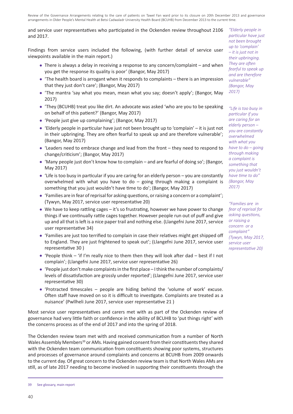#### and service user representatives who participated in the Ockenden review throughout 2106 and 2017.

Findings from service users included the following, (with further detail of service user viewpoints available in the main report.)

- There is always a delay in receiving a response to any concern/complaint and when you get the response its quality is poor' (Bangor, May 2017)
- $\bullet$  'The health board is arrogant when it responds to complaints there is an impression that they just don't care'; (Bangor, May 2017)
- 'The mantra 'say what you mean, mean what you say; doesn't apply'; (Bangor, May 2017)
- 'They (BCUHB) treat you like dirt. An advocate was asked 'who are you to be speaking on behalf of this patient?' (Bangor, May 2017)
- 'People just give up complaining'; (Bangor, May 2017)
- 'Elderly people in particular have just not been brought up to 'complain' it is just not in their upbringing. They are often fearful to speak up and are therefore vulnerable'; (Bangor, May 2017)
- 'Leaders need to embrace change and lead from the front they need to respond to change/criticism'; (Bangor, May 2017)
- 'Many people just don't know how to complain and are fearful of doing so'; (Bangor, May 2017)
- 'Life is too busy in particular if you are caring for an elderly person you are constantly overwhelmed with what you have to do  $-$  going through making a complaint is something that you just wouldn't have time to do'; (Bangor, May 2017)
- 'Families are in fear of reprisal for asking questions, or raising a concern or a complaint'; (Tywyn, May 2017, service user representative 20)
- We have to keep rattling cages it's so frustrating, however we have power to change things if we continually rattle cages together. However people run out of puff and give up and all that is left is a nice paper trail and nothing else. (Llangefni June 2017, service user representative 34)
- 'Families are just too terrified to complain in case their relatives might get shipped off to England. They are just frightened to speak out'; (Llangefni June 2017, service user representative 30 )
- 'People think 'if I'm really nice to them then they will look after dad best if I not complain'; (Llangefni June 2017, service user representative 26)
- 'People just don't make complaints in the first place I think the number of complaints/ levels of dissatisfaction are grossly under reported'; (Llangefni June 2017, service user representative 30)
- 'Protracted timescales people are hiding behind the 'volume of work' excuse. Often staff have moved on so it is difficult to investigate. Complaints are treated as a nuisance' (Pwllheli June 2017, service user representative 21 )

Most service user representatives and carers met with as part of the Ockenden review of governance had very little faith or confidence in the ability of BCUHB to 'put things right' with the concerns process as of the end of 2017 and into the spring of 2018.

The Ockenden review team met with and received communication from a number of North Wales Assembly Members<sup>39</sup> or AMs. Having gained consent from their constituents they shared with the Ockenden team communication from constituents showing poor systems, structures and processes of governance around complaints and concerns at BCUHB from 2009 onwards to the current day. Of great concern to the Ockenden review team is that North Wales AMs are still, as of late 2017 needing to become involved in supporting their constituents through the

*"Elderly people in particular have just not been brought up to 'complain' – it is just not in their upbringing. They are often fearful to speak up and are therefore vulnerable" (Bangor, May 2017)* 

*"Life is too busy in particular if you are caring for an elderly person – you are constantly overwhelmed with what you have to do – going through making a complaint is something that you just wouldn't have time to do" (Bangor, May 2017)* 

*"Families are in fear of reprisal for asking questions, or raising a concern or a complaint" (Tywyn, May 2017, service user representative 20)*

<sup>39</sup> See glossary, main report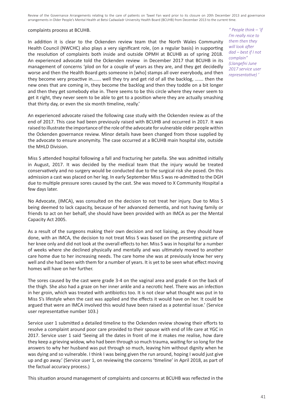#### complaints process at BCUHB.

In addition it is clear to the Ockenden review team that the North Wales Community Health Council (NWCHC) also plays a very significant role, (on a regular basis) in supporting the resolution of complaints both inside and outside OPMH at BCUHB as of spring 2018. An experienced advocate told the Ockenden review in December 2017 that BCUHB in its management of concerns 'plod on for a couple of years as they are, and they get decidedly worse and then the Health Board gets someone in [who] stamps all over everybody, and then they become very proactive in……. well they try and get rid of all the backlog, ……. then the new ones that are coming in, they become the backlog and then they toddle on a bit longer and then they get somebody else in. There seems to be this circle where they never seem to get it right, they never seem to be able to get to a position where they are actually smashing that thirty day, or even the six month timeline, really.'

An experienced advocate raised the following case study with the Ockenden review as of the end of 2017. This case had been previously raised with BCUHB and occurred in 2017. It was raised to illustrate the importance of the role of the advocate for vulnerable older people within the Ockenden governance review. Minor details have been changed from those supplied by the advocate to ensure anonymity. The case occurred at a BCUHB main hospital site, outside the MHLD Division.

Miss S attended hospital following a fall and fracturing her patella. She was admitted initially in August, 2017. It was decided by the medical team that the injury would be treated conservatively and no surgery would be conducted due to the surgical risk she posed. On this admission a cast was placed on her leg. In early September Miss S was re-admitted to the DGH due to multiple pressure sores caused by the cast. She was moved to X Community Hospital a few days later.

No Advocate, (IMCA), was consulted on the decision to not treat her injury. Due to Miss S being deemed to lack capacity, because of her advanced dementia, and not having family or friends to act on her behalf, she should have been provided with an IMCA as per the Mental Capacity Act 2005.

As a result of the surgeons making their own decision and not liaising, as they should have done, with an IMCA, the decision to not treat Miss S was based on the presenting picture of her knee only and did not look at the overall effects to her. Miss S was in hospital for a number of weeks where she declined physically and mentally and was ultimately moved to another care home due to her increasing needs. The care home she was at previously know her very well and she had been with them for a number of years. It is yet to be seen what effect moving homes will have on her further.

The sores caused by the cast were grade 3-4 on the vaginal area and grade 4 on the back of the thigh. She also had a graze on her inner ankle and a necrotic heel. There was an infection in her groin, which was treated with antibiotics too. It is not clear what thought was put in to Miss S's lifestyle when the cast was applied and the effects it would have on her. It could be argued that were an IMCA involved this would have been raised as a potential issue.' (Service user representative number 103.)

Service user 1 submitted a detailed timeline to the Ockenden review showing their efforts to resolve a complaint around poor care provided to their spouse with end of life care at YGC in 2017. Service user 1 said 'Seeing all the dates in front of me it makes me realise, how dare they keep a grieving widow, who had been through so much trauma, waiting for so long for the answers to why her husband was put through so much, leaving him without dignity when he was dying and so vulnerable. I think I was being given the run around, hoping I would just give up and go away.' (Service user 1, on reviewing the concerns 'timeline' in April 2018, as part of the factual accuracy process.)

This situation around management of complaints and concerns at BCUHB was reflected in the

*" People think – 'if I'm really nice to them then they will look after dad – best if I not complain" (Llangefni June 2017 service user representative) '*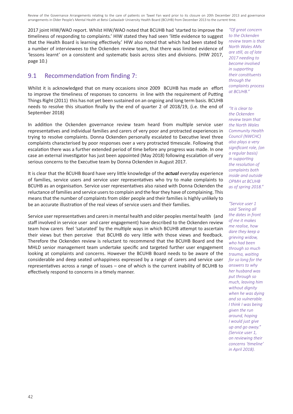2017 joint HIW/WAO report. Whilst HIW/WAO noted that BCUHB had 'started to improve the timeliness of responding to complaints.' HIW stated they had seen 'little evidence to suggest that the Health Board is learning effectively.' HIW also noted that which had been stated by a number of interviewees to the Ockenden review team, that there was limited evidence of 'lessons learnt' on a consistent and systematic basis across sites and divisions. (HIW 2017, page 10.)

#### 9.1 Recommendation from finding 7:

Whilst it is acknowledged that on many occasions since 2009 BCUHB has made an effort to improve the timeliness of responses to concerns in line with the requirement of Putting Things Right (2011) this has not yet been sustained on an ongoing and long term basis. BCUHB needs to resolve this situation finally by the end of quarter 2 of 2018/19, (i.e. the end of September 2018)

In addition the Ockenden governance review team heard from multiple service user representatives and individual families and carers of very poor and protracted experiences in trying to resolve complaints. Donna Ockenden personally escalated to Executive level three complaints characterised by poor responses over a very protracted timescale. Following that escalation there was a further extended period of time before any progress was made. In one case an external investigator has just been appointed (May 2018) following escalation of very serious concerns to the Executive team by Donna Ockenden in August 2017.

It is clear that the BCUHB Board have very little knowledge of the *actual* everyday experience of families, service users and service user representatives who try to make complaints to BCUHB as an organisation. Service user representatives also raised with Donna Ockenden the reluctance of families and service users to complain and the fear they have of complaining. This means that the number of complaints from older people and their families is highly unlikely to be an accurate illustration of the real views of service users and their families.

Service user representatives and carers in mental health and older peoples mental health (and staff involved in service user and carer engagement) have described to the Ockenden review team how carers feel 'saturated' by the multiple ways in which BCUHB attempt to ascertain their views but then perceive that BCUHB do very little with those views and feedback. Therefore the Ockenden review is reluctant to recommend that the BCUHB Board and the MHLD senior management team undertake specific and targeted further user engagement looking at complaints and concerns. However the BCUHB Board needs to be aware of the considerable and deep seated unhappiness expressed by a range of carers and service user representatives across a range of issues – one of which is the current inability of BCUHB to effectively respond to concerns in a timely manner.

*"Of great concern to the Ockenden review team is that North Wales AMs are still, as of late 2017 needing to become involved in supporting their constituents through the complaints process at BCUHB."*

*"It is clear to the Ockenden review team that the North Wales Community Health Council (NWCHC) also plays a very significant role, (on a regular basis) in supporting the resolution of complaints both inside and outside OPMH at BCUHB as of spring 2018."*

*"Service user 1 said 'Seeing all the dates in front of me it makes me realise, how dare they keep a grieving widow, who had been through so much trauma, waiting for so long for the answers to why her husband was put through so much, leaving him without dignity when he was dying and so vulnerable. I think I was being given the run around, hoping I would just give up and go away." (Service user 1, on reviewing their concerns 'timeline' in April 2018).*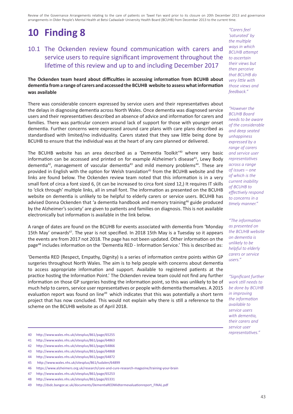# **10 Finding 8**

#### 10.1 The Ockenden review found communication with carers and service users to require significant improvement throughout the lifetime of this review and up to and including December 2017

#### **The Ockenden team heard about difficulties in accessing information from BCUHB about dementia from a range of carers and accessed the BCUHB website to assess what information was available**

There was considerable concern expressed by service users and their representatives about the delays in diagnosing dementia across North Wales. Once dementia was diagnosed service users and their representatives described an absence of advice and information for carers and families. There was particular concern around lack of support for those with younger onset dementia. Further concerns were expressed around care plans with care plans described as standardised with limited/no individuality. Carers stated that they saw little being done by BCUHB to ensure that the individual was at the heart of any care planned or delivered.

The BCUHB website has an area described as a 'Dementia Toolkit'40 where very basic information can be accessed and printed on for example Alzheimer's disease $41$ , Lewy Body dementia<sup>42</sup>, management of vascular dementia<sup>43</sup> and mild memory problems<sup>44</sup>. These are provided in English with the option for Welsh translation<sup>45</sup> from the BCUHB website and the links are found below. The Ockenden review team noted that this information is in a very small font of circa a font sized 6, (it can be increased to circa font sized 12,) It requires IT skills to 'click through' multiple links, all in small font. The information as presented on the BCUHB website on dementia is unlikely to be helpful to elderly carers or service users. BCUHB has advised Donna Ockenden that 'a dementia handbook and memory training $46$  guide produced by the Alzheimer's society' are given to patients and families on diagnosis. This is not available electronically but information is available in the link below.

A range of dates are found on the BCUHB for events associated with dementia from 'Monday 15th May' onwards<sup>47</sup>. The year is not specified. In 2018 15th May is a Tuesday so it appears the events are from 2017 not 2018. The page has not been updated. Other information on the page48 includes information on the 'Dementia RED - Information Service.' This is described as:

'Dementia RED (Respect, Empathy, Dignity) is a series of information centre points within GP surgeries throughout North Wales. The aim is to help people with concerns about dementia to access appropriate information and support. Available to registered patients at the practice hosting the Information Point.' The Ockenden review team could not find any further information on those GP surgeries hosting the information point, so this was unlikely to be of much help to carers, service user representatives or people with dementia themselves. A 2015 evaluation report was found on line<sup>49</sup> which indicates that this was potentially a short term project that has now concluded. This would not explain why there is still a reference to the scheme on the BCUHB website as of April 2018.

*"Carers feel 'saturated' by the multiple ways in which BCUHB attempt to ascertain their views but then perceive that BCUHB do very little with those views and feedback."*

*"However the BCUHB Board needs to be aware of the considerable and deep seated unhappiness expressed by a range of carers and service user representatives across a range of issues – one of which is the current inability of BCUHB to effectively respond to concerns in a timely manner."*

*"The information as presented on the BCUHB website on dementia is unlikely to be helpful to elderly carers or service users."*

*"Significant further work still needs to be done by BCUHB in improving the information available to service users with dementia, their carers and service user representatives."*

- 40 http://www.wales.nhs.uk/sitesplus/861/page/65255
- 41 http://www.wales.nhs.uk/sitesplus/861/page/64863
- 42 http://www.wales.nhs.uk/sitesplus/861/page/64866
- 43 http://www.wales.nhs.uk/sitesplus/861/page/64868
- 44 http://www.wales.nhs.uk/sitesplus/861/page/64872
- 45 http://www.wales.nhs.uk/sitesplus/861/tudalen/64899
- 46 https://www.alzheimers.org.uk/research/care-and-cure-research-magazine/training-your-brain
- 47 http://www.wales.nhs.uk/sitesplus/861/page/65253
- 48 http://www.wales.nhs.uk/sitesplus/861/page/65331

<sup>49</sup> http://dsdc.bangor.ac.uk/documents/DementiaREDMidtermevaluationreport\_FINAL.pdf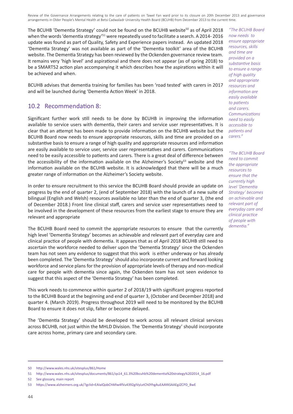The BCUHB 'Dementia Strategy' could not be found on the BCUHB website<sup>50</sup> as of April 2018 when the words 'dementia strategy'<sup>51</sup> were repeatedly used to facilitate a search. A 2014-2016 update was found as part of Quality, Safety and Experience papers instead. An updated 2018 'Dementia Strategy' was not available as part of the 'Dementia toolkit' area of the BCUHB website. The Dementia Strategy has been reviewed by the Ockenden governance review team. It remains very 'high level' and aspirational and there does not appear (as of spring 2018) to be a SMART52 action plan accompanying it which describes how the aspirations within it will be achieved and when.

BCUHB advises that dementia training for families has been 'road tested' with carers in 2017 and will be launched during 'Dementia Action Week' in 2018.

#### 10.2 Recommendation 8:

Significant further work still needs to be done by BCUHB in improving the information available to service users with dementia, their carers and service user representatives. It is clear that an attempt has been made to provide information on the BCUHB website but the BCUHB Board now needs to ensure appropriate resources, skills and time are provided on a substantive basis to ensure a range of high quality and appropriate resources and information are easily available to service user, service user representatives and carers. Communications need to be easily accessible to patients and carers. There is a great deal of difference between the accessibility of the information available on the Alzheimer's Society $53$  website and the information available on the BCUHB website. It is acknowledged that there will be a much greater range of information on the Alzheimer's Society website.

In order to ensure recruitment to this service the BCUHB Board should provide an update on progress by the end of quarter 2, (end of September 2018) with the launch of a new suite of bilingual (English and Welsh) resources available no later than the end of quarter 3, (the end of December 2018.) Front line clinical staff, carers and service user representatives need to be involved in the development of these resources from the earliest stage to ensure they are relevant and appropriate

The BCUHB Board need to commit the appropriate resources to ensure that the currently high level 'Dementia Strategy' becomes an achievable and relevant part of everyday care and clinical practice of people with dementia. It appears that as of April 2018 BCUHB still need to ascertain the workforce needed to deliver upon the 'Dementia Strategy' since the Ockenden team has not seen any evidence to suggest that this work is either underway or has already been completed. The 'Dementia Strategy' should also incorporate current and forward looking workforce and service plans for the provision of appropriate levels of therapy and non-medical care for people with dementia since again, the Ockenden team has not seen evidence to suggest that this aspect of the 'Dementia Strategy' has been completed.

This work needs to commence within quarter 2 of 2018/19 with significant progress reported to the BCUHB Board at the beginning and end of quarter 3, (October and December 2018) and quarter 4. (March 2019). Progress throughout 2019 will need to be monitored by the BCUHB Board to ensure it does not slip, falter or become delayed.

The 'Dementia Strategy' should be developed to work across all relevant clinical services across BCUHB, not just within the MHLD Division. The 'Dementia Strategy' should incorporate care across home, primary care and secondary care.

*"The BCUHB Board now needs to ensure appropriate resources, skills and time are provided on a substantive basis to ensure a range of high quality and appropriate resources and information are easily available to patients and carers. Communications need to easily accessible to patients and carers."*

*"The BCUHB Board need to commit the appropriate resources to ensure that the currently high level 'Dementia Strategy' becomes an achievable and relevant part of everyday care and clinical practice of people with dementia."*

<sup>50</sup> http://www.wales.nhs.uk/sitesplus/861/Home

<sup>51</sup> http://www.wales.nhs.uk/sitesplus/documents/861/qs14\_61.3%20bcuhb%20dementia%20strategy%202014\_16.pdf

<sup>52</sup> See glossary, main report

<sup>53</sup> https://www.alzheimers.org.uk/?gclid=EAIaIQobChMIw4fVu4392gIVyLvtCh0YhgAuEAAYASAAEgJZCPD\_BwE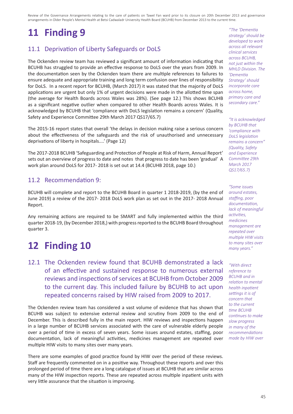# **11 Finding 9**

## 11.1 Deprivation of Liberty Safeguards or DoLS

The Ockenden review team has reviewed a significant amount of information indicating that BCUHB has struggled to provide an effective response to DoLS over the years from 2009. In the documentation seen by the Ockenden team there are multiple references to failures to ensure adequate and appropriate training and long term confusion over lines of responsibility for DoLS. In a recent report for BCUHB, (March 2017) it was stated that the majority of DoLS applications are urgent but only 1% of urgent decisions were made in the allotted time span (the average for Health Boards across Wales was 28%). (See page 12.) This shows BCUHB as a significant negative outlier when compared to other Health Boards across Wales. It is acknowledged by BCUHB that 'compliance with DoLS legislation remains a concern' (Quality, Safety and Experience Committee 29th March 2017 QS17/65.7)

The 2015-16 report states that overall 'the delays in decision making raise a serious concern about the effectiveness of the safeguards and the risk of unauthorised and unnecessary deprivations of liberty in hospitals....' (Page 12)

The 2017-2018 BCUHB 'Safeguarding and Protection of People at Risk of Harm, Annual Report' sets out an overview of progress to date and notes that progress to date has been 'gradual' A work plan around DoLS for 2017- 2018 is set out at 14.4 (BCUHB 2018, page 10.)

#### 11.2 Recommendation 9:

BCUHB will complete and report to the BCUHB Board in quarter 1 2018-2019, (by the end of June 2019) a review of the 2017- 2018 DoLS work plan as set out in the 2017- 2018 Annual Report.

Any remaining actions are required to be SMART and fully implemented within the third quarter 2018-19, (by December 2018,) with progress reported to the BCUHB Board throughout quarter 3.

## **12 Finding 10**

12.1 The Ockenden review found that BCUHB demonstrated a lack of an effective and sustained response to numerous external reviews and inspections of services at BCUHB from October 2009 to the current day. This included failure by BCUHB to act upon repeated concerns raised by HIW raised from 2009 to 2017.

The Ockenden review team has considered a vast volume of evidence that has shown that BCUHB was subject to extensive external review and scrutiny from 2009 to the end of December. This is described fully in the main report. HIW reviews and inspections happen in a large number of BCUHB services associated with the care of vulnerable elderly people over a period of time in excess of seven years. Some issues around estates, staffing, poor documentation, lack of meaningful activities, medicines management are repeated over multiple HIW visits to many sites over many years.

There are some examples of good practice found by HIW over the period of these reviews. Staff are frequently commented on in a positive way. Throughout these reports and over this prolonged period of time there are a long catalogue of issues at BCUHB that are similar across many of the HIW inspection reports. These are repeated across multiple inpatient units with very little assurance that the situation is improving.

*"The 'Dementia strategy' should be developed to work across all relevant clinical services across BCUHB, not just within the MHLD Division. The 'Dementia Strategy' should incorporate care across home, primary care and secondary care."*

*"It is acknowledged by BCUHB that 'compliance with DoLS legislation remains a concern" (Quality, Safety and Experience Committee 29th March 2017 QS17/65.7)*

*"Some issues around estates, staffing, poor documentation, lack of meaningful activities, medicines management are repeated over multiple HIW visits to many sites over many years."*

*"With direct reference to BCUHB and in relation to mental health inpatient settings it is of concern that to the current time BCUHB continues to make slow progress in many of the recommendations made by HIW over*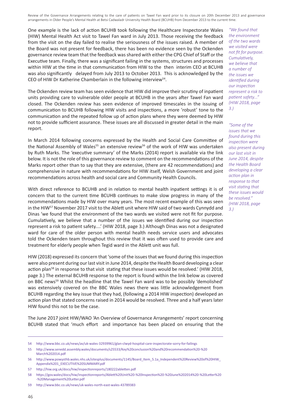One example is the lack of action BCUHB took following the Healthcare Inspectorate Wales (HIW) Mental Health Act visit to Tawel Fan ward in July 2013. Those receiving the feedback from the visit on the day failed to realise the seriousness of the issues raised. A member of the Board was not present for feedback, there has been no evidence seen by the Ockenden governance review team that the feedback was shared with either the CPG Chief of Staff or the Executive team. Finally, there was a significant failing in the systems, structures and processes within HIW at the time in that communication from HIW to the then interim CEO at BCUHB was also significantly delayed from July 2013 to October 2013. This is acknowledged by the CEO of HIW Dr Katherine Chamberlain in the following interview<sup>54</sup>.

The Ockenden review team has seen evidence that HIW did improve their scrutiny of inpatient units providing care to vulnerable older people at BCUHB in the years after Tawel Fan ward closed. The Ockenden review has seen evidence of improved timescales in the issuing of communication to BCUHB following HIW visits and inspections, a more 'robust' tone to the communication and the repeated follow up of action plans where they were deemed by HIW not to provide sufficient assurance. These issues are all discussed in greater detail in the main report.

In March 2014 following concerns expressed by the Health and Social Care Committee of the National Assembly of Wales<sup>55</sup> an extensive review<sup>56</sup> of the work of HIW was undertaken by Ruth Marks. The 'executive summary' of the Marks (2014) report is available via the link below. It is not the role of this governance review to comment on the recommendations of the Marks report other than to say that they are extensive, (there are 42 recommendations) and comprehensive in nature with recommendations for HIW itself, Welsh Government and joint recommendations across health and social care and Community Health Councils.

With direct reference to BCUHB and in relation to mental health inpatient settings it is of concern that to the current time BCUHB continues to make slow progress in many of the recommendations made by HIW over many years. The most recent example of this was seen in the HIW57 November 2017 visit to the Ablett unit where HIW said of two wards Cynnydd and Dinas 'we found that the environment of the two wards we visited were not fit for purpose. Cumulatively, we believe that a number of the issues we identified during our inspection represent a risk to patient safety....' (HIW 2018, page 3.) Although Dinas was not a designated ward for care of the older person with mental health needs service users and advocates told the Ockenden team throughout this review that it was often used to provide care and treatment for elderly people when Tegid ward in the Ablett unit was full.

HIW (2018) expressed its concern that 'some of the issues that we found during this inspection were also present during our last visit in June 2014, despite the Health Board developing a clear action plan<sup>58</sup> in response to that visit stating that these issues would be resolved.' (HIW 2018, page 3.) The external BCUHB response to the report is found within the link below as covered on BBC news<sup>59</sup> Whilst the headline that the Tawel Fan ward was to be possibly 'demolished' was extensively covered on the BBC Wales news there was little acknowledgement from BCUHB regarding the key issue that they had, (following a 2014 HIW inspection) developed an action plan that stated concerns raised in 2014 would be resolved. Three and a half years later HIW found this not to be the case.

The June 2017 joint HIW/WAO 'An Overview of Governance Arrangements' report concerning BCUHB stated that 'much effort and importance has been placed on ensuring that the

*"We found that the environment of the two wards we visited were not fit for purpose. Cumulatively, we believe that a number of the issues we identified during our inspection represent a risk to patient safety..." (HIW 2018, page 3.)*

*"Some of the issues that we found during this inspection were also present during our last visit in June 2014, despite the Health Board developing a clear action plan in response to that visit stating that these issues would be resolved." (HIW 2018, page 3.)*

<sup>54</sup> http://www.bbc.co.uk/news/av/uk-wales-32939961/glan-clwyd-hospital-care-inspectorate-sorry-for-failings

<sup>55</sup> http://www.senedd.assembly.wales/documents/s25533/Key%20conclusion%20and%20recommendation%20-%20 March%202014.pdf

<sup>56</sup> http://www.powysthb.wales.nhs.uk/sitesplus/documents/1145/Board\_Item\_5.1a\_Independent%20Review%20of%20HIW\_ Appendix%201\_EXECUTIVE%20SUMMARY.pdf

<sup>57</sup> http://hiw.org.uk/docs/hiw/inspectionreports/180222abletten.pdf

<sup>58</sup> https://gov.wales/docs/hiw/inspectionreports/Ablett%20Unit%20-%20Inspection%20-%20June%202014%20-%20Letter%20 -%20Management%20Letter.pdf

<sup>59</sup> http://www.bbc.co.uk/news/uk-wales-north-east-wales-43789383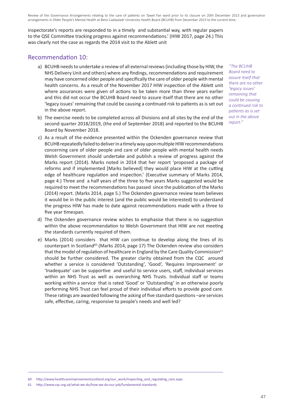inspectorate's reports are responded to in a timely and substantial way, with regular papers to the QSE Committee tracking progress against recommendations.' (HIW 2017, page 24.) This was clearly not the case as regards the 2014 visit to the Ablett unit

#### Recommendation 10:

- a) BCUHB needs to undertake a review of all external reviews (including those by HIW, the NHS Delivery Unit and others) where any findings, recommendations and requirement may have concerned older people and specifically the care of older people with mental health concerns. As a result of the November 2017 HIW inspection of the Ablett unit where assurances were given of actions to be taken more than three years earlier and this did not occur the BCUHB Board need to assure itself that there are no other 'legacy issues' remaining that could be causing a continued risk to patients as is set out in the above report.
- b) The exercise needs to be completed across all Divisions and all sites by the end of the second quarter 2018/2019, (the end of September 2018) and reported to the BCUHB Board by November 2018.
- c) As a result of the evidence presented within the Ockenden governance review that BCUHB repeatedly failed to deliver in a timely way upon multiple HIW recommendations concerning care of older people and care of older people with mental health needs Welsh Government should undertake and publish a review of progress against the Marks report (2014). Marks noted in 2014 that her report 'proposed a package of reforms and if implemented [Marks believed] they would place HIW at the cutting edge of healthcare regulation and inspection.' (Executive summary of Marks 2014, page 4.) Three and a half years of the three to five years Marks suggested would be required to meet the recommendations has passed since the publication of the Marks (2014) report. (Marks 2014, page 5.) The Ockenden governance review team believes it would be in the public interest (and the public would be interested) to understand the progress HIW has made to date against recommendations made with a three to five year timespan.
- d) The Ockenden governance review wishes to emphasise that there is no suggestion within the above recommendation to Welsh Government that HIW are not meeting the standards currently required of them.
- e) Marks (2014) considers that HIW can continue to develop along the lines of its counterpart in Scotland<sup>60</sup> (Marks 2014, page 17) The Ockenden review also considers that the model of regulation of healthcare in England by the Care Quality Commission<sup>61</sup> should be further considered. The greater clarity obtained from the CQC around whether a service is considered 'Outstanding', 'Good', 'Requires Improvement' or 'Inadequate' can be supportive and useful to service users, staff, individual services within an NHS Trust as well as overarching NHS Trusts. Individual staff or teams working within a service that is rated 'Good' or 'Outstanding' in an otherwise poorly performing NHS Trust can feel proud of their individual efforts to provide good care. These ratings are awarded following the asking of five standard questions –are services safe, effective, caring, responsive to people's needs and well led?

60 http://www.healthcareimprovementscotland.org/our\_work/inspecting\_and\_regulating\_care.aspx

61 http://www.cqc.org.uk/what-we-do/how-we-do-our-job/fundamental-standards

*"The BCUHB Board need to assure itself that there are no other 'legacy issues' remaining that could be causing a continued risk to patients as is set out in the above report."*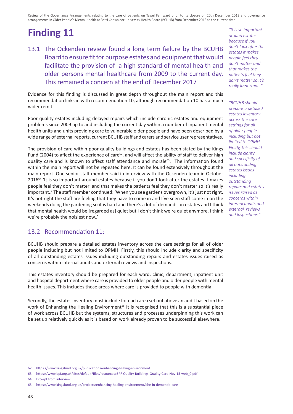# **Finding 11**

13.1 The Ockenden review found a long term failure by the BCUHB Board to ensure fit for purpose estates and equipment that would facilitate the provision of a high standard of mental health and older persons mental healthcare from 2009 to the current day. This remained a concern at the end of December 2017

Evidence for this finding is discussed in great depth throughout the main report and this recommendation links in with recommendation 10, although recommendation 10 has a much wider remit.

Poor quality estates including delayed repairs which include chronic estates and equipment problems since 2009 up to and including the current day within a number of inpatient mental health units and units providing care to vulnerable older people and have been described by a wide range of external reports, current BCUHB staff and carers and service user representatives.

The provision of care within poor quality buildings and estates has been stated by the Kings Fund (2004) to affect the experience of care<sup>62</sup>, and will affect the ability of staff to deliver high quality care and is known to affect staff attendance and morale<sup>63</sup>. The information found within the main report will not be repeated here. It can be found extensively throughout the main report. One senior staff member said in interview with the Ockenden team in October 2016<sup>64</sup> 'It is so important around estates because if you don't look after the estates it makes people feel they don't matter and that makes the patients feel they don't matter so it's really important..' The staff member continued: 'When you see gardens overgrown, it's just not right. It's not right the staff are feeling that they have to come in and I've seen staff come in on the weekends doing the gardening so it is hard and there's a lot of demands on estates and I think that mental health would be [regarded as] quiet but I don't think we're quiet anymore. I think we're probably the noisiest now..'

#### 13.2 Recommendation 11:

BCUHB should prepare a detailed estates inventory across the care settings for all of older people including but not limited to OPMH. Firstly, this should include clarity and specificity of all outstanding estates issues including outstanding repairs and estates issues raised as concerns within internal audits and external reviews and inspections.

This estates inventory should be prepared for each ward, clinic, department, inpatient unit and hospital department where care is provided to older people and older people with mental health issues. This includes those areas where care is provided to people with dementia.

Secondly, the estates inventory must include for each area set out above an audit based on the work of Enhancing the Healing Environment<sup>65</sup> It is recognised that this is a substantial piece of work across BCUHB but the systems, structures and processes underpinning this work can be set up relatively quickly as it is based on work already proven to be successful elsewhere.

*"It is so important around estates because if you don't look after the estates it makes people feel they don't matter and that makes the patients feel they don't matter so it's really important.."*

*"BCUHB should prepare a detailed estates inventory across the care settings for all of older people including but not limited to OPMH. Firstly, this should include clarity and specificity of all outstanding estates issues including outstanding repairs and estates issues raised as concerns within internal audits and external reviews and inspections."*

<sup>62</sup> https://www.kingsfund.org.uk/publications/enhancing-healing-environment

<sup>63</sup> https://www.bpf.org.uk/sites/default/files/resources/BPF-Quality-Buildings-Quality-Care-Nov-15-web\_0.pdf

<sup>64</sup> Excerpt from interview

<sup>65</sup> https://www.kingsfund.org.uk/projects/enhancing-healing-environment/ehe-in-dementia-care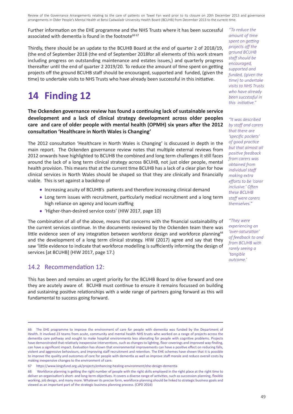Further information on the EHE programme and the NHS Trusts where it has been successful associated with dementia is found in the footnote<sup>66 67</sup>

Thirdly, there should be an update to the BCUHB Board at the end of quarter 2 of 2018/19, (the end of September 2018 (the end of September 2018for all elements of this work stream including progress on outstanding maintenance and estates issues,) and quarterly progress thereafter until the end of quarter 2 2019/20. To reduce the amount of time spent on getting projects off the ground BCUHB staff should be encouraged, supported and funded, (given the time) to undertake visits to NHS Trusts who have already been successful in this initiative.

## **14 Finding 12**

**The Ockenden governance review has found a continuing lack of sustainable service development and a lack of clinical strategy development across older peoples care and care of older people with mental health (OPMH) six years after the 2012 consultation 'Healthcare in North Wales is Changing'**

The 2012 consultation 'Healthcare in North Wales is Changing' is discussed in depth in the main report. The Ockenden governance review notes that multiple external reviews from 2012 onwards have highlighted to BCUHB the combined and long term challenges it still faces around the lack of a long term clinical strategy across BCUHB, not just older people, mental health provision. This means that at the current time BCUHB has a lack of a clear plan for how clinical services in North Wales should be shaped so that they are clinically and financially viable. This is set against a backdrop of

- Increasing acuity of BCUHB's patients and therefore increasing clinical demand
- Long term issues with recruitment, particularly medical recruitment and a long term high reliance on agency and locum staffing
- 'Higher-than-desired service costs' (HIW 2017, page 10)

The combination of all of the above, means that concerns with the financial sustainability of the current services continue. In the documents reviewed by the Ockenden team there was little evidence seen of any integration between workforce design and workforce planning<sup>68</sup> and the development of a long term clinical strategy. HIW (2017) agree and say that they saw 'little evidence to indicate that workforce modelling is sufficiently informing the design of services [at BCUHB] (HIW 2017, page 17.)

#### 14.2 Recommendation 12:

This has been and remains an urgent priority for the BCUHB Board to drive forward and one they are acutely aware of. BCUHB must continue to ensure it remains focussed on building and sustaining positive relationships with a wide range of partners going forward as this will fundamental to success going forward.

*"To reduce the amount of time spent on getting projects off the ground BCUHB staff should be encouraged, supported and funded, (given the time) to undertake visits to NHS Trusts who have already been successful in this initiative."*

*"It was described by staff and carers that there are 'specific pockets' of good practice but that almost all positive feedback from carers was obtained from individual staff making extra efforts to be 'carer inclusive.' Often these BCUHB staff were carers themselves."*

*"They were experiencing an 'over-saturation' of feedback to and from BCUHB with rarely seeing a 'tangible outcome.'*

<sup>66</sup> The EHE programme to improve the environment of care for people with dementia was funded by the Department of Health. It involved 23 teams from acute, community and mental health NHS trusts who worked on a range of projects across the dementia care pathway and sought to make hospital environments less alienating for people with cognitive problems. Projects have demonstrated that relatively inexpensive interventions, such as changes to lighting, floor coverings and improved way-finding, can have a significant impact. Evaluation has shown that environmental improvements can have a positive effect on reducing falls, violent and aggressive behaviours, and improving staff recruitment and retention. The EHE schemes have shown that it is possible to improve the quality and outcomes of care for people with dementia as well as improve staff morale and reduce overall costs by making inexpensive changes to the environment of care.

<sup>67</sup> https://www.kingsfund.org.uk/projects/enhancing-healing-environment/ehe-design-dementia

<sup>68</sup> Workforce planning is getting the right number of people with the right skills employed in the right place at the right time to deliver an organisation's short- and long-term objectives. It covers a diverse range of activities, such as succession planning, flexible working, job design, and many more. Whatever its precise form, workforce planning should be linked to strategic business goals and viewed as an important part of the strategic business planning process. (CIPD 2016)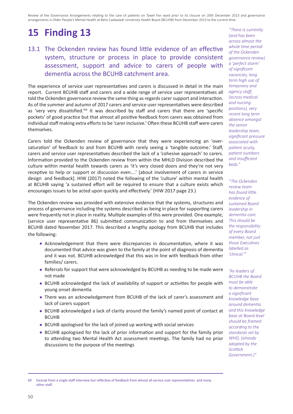# **15 Finding 13**

## 13.1 The Ockenden review has found little evidence of an effective system, structure or process in place to provide consistent assessment, support and advice to carers of people with dementia across the BCUHB catchment area.

The experience of service user representatives and carers is discussed in detail in the main report. Current BCUHB staff and carers and a wide range of service user representatives all told the Ockenden governance review the same thing as regards carer support and interaction. As of the summer and autumn of 2017 carers and service user representatives were described as 'very very dissatisfied.'69 It was described by staff and carers that there are 'specific pockets' of good practice but that almost all positive feedback from carers was obtained from individual staff making extra efforts to be 'carer inclusive.' Often these BCUHB staff were carers themselves.

Carers told the Ockenden review of governance that they were experiencing an 'oversaturation' of feedback to and from BCUHB with rarely seeing a 'tangible outcome.' Staff, carers and service user representatives described the lack of a 'cohesive approach' to carers. Information provided to the Ockenden review from within the MHLD Division described the culture within mental health towards carers as 'it's very closed doors and they're not very receptive to help or support or discussion even....' [about involvement of carers in service design and feedback]. HIW (2017) noted the following of the 'culture' within mental health at BCUHB saying 'a sustained effort will be required to ensure that a culture exists which encourages issues to be acted upon quickly and effectively.' (HIW 2017 page 23.)

The Ockenden review was provided with extensive evidence that the systems, structures and process of governance including the systems described as being in place for supporting carers were frequently not in place in reality. Multiple examples of this were provided. One example, (service user representative 86) submitted communication to and from themselves and BCUHB dated November 2017. This described a lengthy apology from BCUHB that includes the following:

- Acknowledgement that there were discrepancies in documentation, where it was documented that advice was given to the family at the point of diagnosis of dementia and it was not. BCUHB acknowledged that this was in line with feedback from other families/ carers.
- Referrals for support that were acknowledged by BCUHB as needing to be made were not made
- BCUHB acknowledged the lack of availability of support or activities for people with young onset dementia
- There was an acknowledgement from BCUHB of the lack of carer's assessment and lack of carers support
- BCUHB acknowledged a lack of clarity around the family's named point of contact at BCUHB
- BCUHB apologised for the lack of joined up working with social services
- BCUHB apologised for the lack of prior information and support for the family prior to attending two Mental Health Act assessment meetings. The family had no prior discussions to the purpose of the meetings

*"There is currently (and has been across almost the whole time period of the Ockenden governance review) a 'perfect storm' of significant vacancies, long term high use of temporary and agency staff, (across medical and nursing positions), very recent long term absence amongst the senior leadership team, significant pressure associated with patient acuity, patient numbers and insufficient beds."*

*"The Ockenden review team has found little evidence of sustained Board leadership in dementia care. This should be the responsibility of every Board member, not just those Executives labelled as 'clinical.'"*

*"As leaders of BCUHB the Board must be able to demonstrate a significant knowledge base around dementia and this knowledge base at Board level should be framed according to the standards set by WHO, (already adopted by the Scottish Government.)"*

<sup>69</sup> Excerpt from a single staff interview but reflective of feedback from almost all service user representatives and many other staff.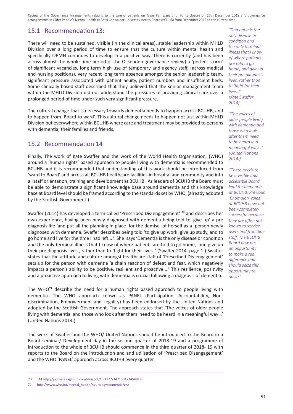#### 15.1 Recommendation 13:

There will need to be sustained, visible (in the clinical areas), stable leadership within MHLD Division over a long period of time to ensure that the culture within mental health and specifically OPMH continues to develop in a positive way. There is currently (and has been across almost the whole time period of the Ockenden governance review) a 'perfect storm' of significant vacancies, long term high use of temporary and agency staff, (across medical and nursing positions), very recent long term absence amongst the senior leadership team, significant pressure associated with patient acuity, patient numbers and insufficient beds. Some clinically based staff described that they believed that the senior management team within the MHLD Division did not understand the pressures of providing clinical care over a prolonged period of time under such very significant pressure.

The cultural change that is necessary towards dementia needs to happen across BCUHB, and to happen from 'Board to ward'. This cultural change needs to happen not just within MHLD Division but everywhere within BCUHB where care and treatment may be provided to persons with dementia, their families and friends.

#### 15.2 Recommendation 14

Finally, The work of Kate Swaffer and the work of the World Health Organisation, (WHO) around a 'human rights' based approach to people living with dementia is recommended to BCUHB and it is recommended that understanding of this work should be introduced from 'ward to Board' and across all BCUHB healthcare facilities in hospital and community and into all staff orientation, training and development at BCUHB. As leaders of BCUHB the Board must be able to demonstrate a significant knowledge base around dementia and this knowledge base at Board level should be framed according to the standards set by WHO, (already adopted by the Scottish Government.)

Swaffer (2014) has developed a term called 'Prescribed Dis-engagement' 70 and describes her own experience, having been newly diagnosed with dementia being told to 'give up' a pre diagnosis life 'and put all the planning in place for the demise of herself as a person newly diagnosed with dementia. Swaffer describes being told 'to give up work, give up study, and to go home and live for the time I had left....' She says 'Dementia is the only disease or condition and the only terminal illness that I know of where patients are told to go home, and give up their pre diagnosis lives , rather than to 'fight for their lives..' (Swaffer 2014, page 1.) Swaffer states that the attitude and culture amongst healthcare staff of 'Prescribed Dis-engagement' sets up for the person with dementia 'a chain reaction of defeat and fear, which negatively impacts a person's ability to be positive, resilient and proactive....' This resilience, positivity and a proactive approach to living with dementia is crucial following a diagnosis of dementia.

The WHO $^{71}$  describe the need for a human rights based approach to people living with dementia. The WHO approach known as PANEL (Participation, Accountability, Nondiscrimination, Empowerment and Legality) has been endorsed by the United Nations and adopted by the Scottish Government. The approach states that 'The voices of older people living with dementia and those who look after them need to be heard in a meaningful way…' (United Nations 2014.)

The work of Swaffer and the WHO/ United Nations should be introduced to the Board in a Board seminar/ Development day in the second quarter of 2018-19 and a programme of introduction to the whole of BCUHB should commence in the third quarter of 2018- 19 with reports to the Board on the introduction and and utilisation of 'Prescribed Disengagement' and the WHO 'PANEL' approach across BCUHB every quarter.

*"Dementia is the only disease or condition and the only terminal illness that I know of where patients are told to go home, and give up their pre diagnosis lives, rather than to 'fight for their lives.." (Kate Swaffer 2014)*

*"The voices of older people living with dementia and those who look after them need to be heard in a meaningful way…" (United Nations 2014.)* 

*"There needs to be a visible and accessible Board lead for dementia at BCUHB. Previous 'Champion' roles at BCUHB have not been completely successful because they are often not known to service users and front line staff. The BCUHB Board now has an opportunity to make a real difference and should seize this opportunity to do so."*

<sup>70</sup> TM http://journals.sagepub.com/doi/pdf/10.1177/1471301214548136

<sup>71</sup> http://www.who.int/mental\_health/neurology/dementia/en/